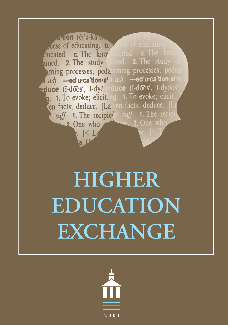**Auton** (čj'a-karsk cess of educating. b. ducated. **c.** The knot ained. 2. The study uned. 2. The study urning processes; peda arning processes; ped adj. - ed'u.ca'tlon.al adj. - ed'u.ca'tlon.a' e·duce (i-doos', i-dyoos ·duce (i-doos', i-dyc g. 1. To evoke; elicit. ng. 1. To evoke; elicit ven facts; deduce. [Laven facts; deduce. suff. 1. The recipiere1 suff. 1. The recip 2. One who 2. One who  $K$  La

# **HIGHER EDUCATION EXCHANGE**

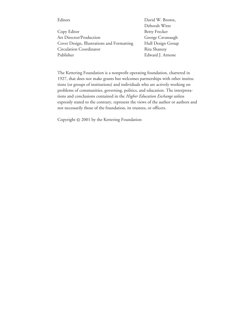| Editors                                    | David W. Brown,      |
|--------------------------------------------|----------------------|
|                                            | Deborah Witte        |
| Copy Editor                                | <b>Betty Frecker</b> |
| <b>Art Director/Production</b>             | George Cavanaugh     |
| Cover Design, Illustrations and Formatting | Hull Design Group    |
| Circulation Coordinator                    | Rita Shanesy         |
| Publisher                                  | Edward J. Arnone     |

The Kettering Foundation is a nonprofit operating foundation, chartered in 1927, that does not make grants but welcomes partnerships with other institutions (or groups of institutions) and individuals who are actively working on problems of communities, governing, politics, and education. The interpretations and conclusions contained in the *Higher Education Exchange* unless expressly stated to the contrary, represent the views of the author or authors and not necessarily those of the foundation, its trustees, or officers.

Copyright © 2001 by the Kettering Foundation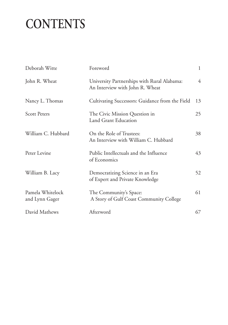# **CONTENTS**

| Deborah Witte                      | Foreword                                                                       | 1  |
|------------------------------------|--------------------------------------------------------------------------------|----|
| John R. Wheat                      | University Partnerships with Rural Alabama:<br>An Interview with John R. Wheat | 4  |
| Nancy L. Thomas                    | Cultivating Successors: Guidance from the Field                                | 13 |
| <b>Scott Peters</b>                | The Civic Mission Question in<br><b>Land Grant Education</b>                   | 25 |
| William C. Hubbard                 | On the Role of Trustees:<br>An Interview with William C. Hubbard               | 38 |
| Peter Levine                       | Public Intellectuals and the Influence<br>of Economics                         | 43 |
| William B. Lacy                    | Democratizing Science in an Era<br>of Expert and Private Knowledge             | 52 |
| Pamela Whitelock<br>and Lynn Gager | The Community's Space:<br>A Story of Gulf Coast Community College              | 61 |
| David Mathews                      | Afterword                                                                      | 67 |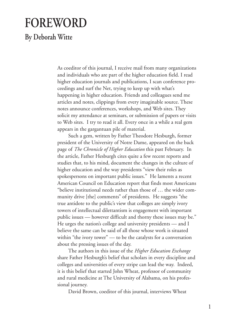### **FOREWORD**

**By Deborah Witte**

As coeditor of this journal, I receive mail from many organizations and individuals who are part of the higher education field. I read higher education journals and publications, I scan conference proceedings and surf the Net, trying to keep up with what's happening in higher education. Friends and colleagues send me articles and notes, clippings from every imaginable source. These notes announce conferences, workshops, and Web sites. They solicit my attendance at seminars, or submission of papers or visits to Web sites. I try to read it all. Every once in a while a real gem appears in the gargantuan pile of material.

Such a gem, written by Father Theodore Hesburgh, former president of the University of Notre Dame, appeared on the back page of *The Chronicle of Higher Education* this past February. In the article, Father Hesburgh cites quite a few recent reports and studies that, to his mind, document the changes in the culture of higher education and the way presidents "view their roles as spokespersons on important public issues." He laments a recent American Council on Education report that finds most Americans "believe institutional needs rather than those of … the wider community drive [the] comments" of presidents. He suggests "the true antidote to the public's view that colleges are simply ivory towers of intellectual dilettantism is engagement with important public issues — however difficult and thorny these issues may be." He urges the nation's college and university presidents — and I believe the same can be said of all those whose work is situated within "the ivory tower" — to be the catalysts for a conversation about the pressing issues of the day.

The authors in this issue of the *Higher Education Exchange* share Father Hesburgh's belief that scholars in every discipline and colleges and universities of every stripe can lead the way. Indeed, it is this belief that started John Wheat, professor of community and rural medicine at The University of Alabama, on his professional journey.

David Brown, coeditor of this journal, interviews Wheat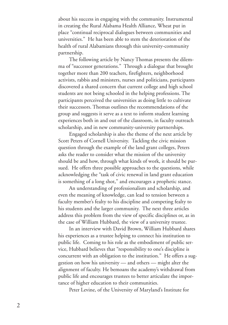about his success in engaging with the community. Instrumental in creating the Rural Alabama Health Alliance, Wheat put in place "continual reciprocal dialogues between communities and universities." He has been able to stem the deterioration of the health of rural Alabamians through this university-community partnership.

The following article by Nancy Thomas presents the dilemma of "successor generations." Through a dialogue that brought together more than 200 teachers, firefighters, neighborhood activists, rabbis and ministers, nurses and politicians, participants discovered a shared concern that current college and high school students are not being schooled in the helping professions. The participants perceived the universities as doing little to cultivate their successors. Thomas outlines the recommendations of the group and suggests it serve as a text to inform student learning experiences both in and out of the classroom, in faculty outreach scholarship, and in new community-university partnerships.

Engaged scholarship is also the theme of the next article by Scott Peters of Cornell University. Tackling the civic mission question through the example of the land grant colleges, Peters asks the reader to consider what the mission of the university should be and how, through what kinds of work, it should be pursued. He offers three possible approaches to the questions, while acknowledging the "task of civic renewal in land grant education is something of a long shot," and encourages a prophetic stance.

An understanding of professionalism and scholarship, and even the meaning of knowledge, can lead to tension between a faculty member's fealty to his discipline and competing fealty to his students and the larger community. The next three articles address this problem from the view of specific disciplines or, as in the case of William Hubbard, the view of a university trustee.

In an interview with David Brown, William Hubbard shares his experiences as a trustee helping to connect his institution to public life. Coming to his role as the embodiment of public service, Hubbard believes that "responsibility to one's discipline is concurrent with an obligation to the institution." He offers a suggestion on how his university — and others — might alter the alignment of faculty. He bemoans the academy's withdrawal from public life and encourages trustees to better articulate the importance of higher education to their communities.

Peter Levine, of the University of Maryland's Institute for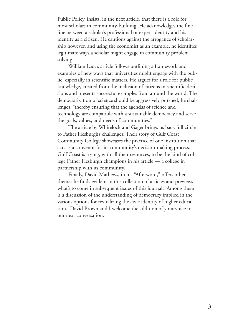Public Policy, insists, in the next article, that there is a role for most scholars in community-building. He acknowledges the fine line between a scholar's professional or expert identity and his identity as a citizen. He cautions against the arrogance of scholarship however, and using the economist as an example, he identifies legitimate ways a scholar might engage in community problem solving.

William Lacy's article follows outlining a framework and examples of new ways that universities might engage with the public, especially in scientific matters. He argues for a role for public knowledge, created from the inclusion of citizens in scientific decisions and presents successful examples from around the world. The democratization of science should be aggressively pursued, he challenges, "thereby ensuring that the agendas of science and technology are compatible with a sustainable democracy and serve the goals, values, and needs of communities."

The article by Whitelock and Gager brings us back full circle to Father Hesburgh's challenges. Their story of Gulf Coast Community College showcases the practice of one institution that acts as a convenor for its community's decision-making process. Gulf Coast is trying, with all their resources, to be the kind of college Father Hesburgh champions in his article — a college in partnership with its community.

Finally, David Mathews, in his "Afterword," offers other themes he finds evident in this collection of articles and previews what's to come in subsequent issues of this journal. Among them is a discussion of the understanding of democracy implied in the various options for revitalizing the civic identity of higher education. David Brown and I welcome the addition of your voice to our next conversation.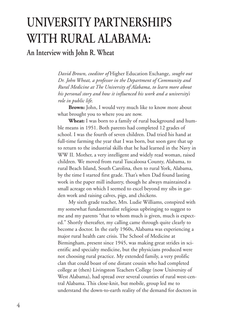## **UNIVERSITY PARTNERSHIPS WITH RURAL ALABAMA:**

**An Interview with John R. Wheat**

*David Brown, coeditor of* Higher Education Exchange*, sought out Dr. John Wheat, a professor in the Department of Community and Rural Medicine at The University of Alabama, to learn more about his personal story and how it influenced his work and a university's role in public life.*

**Brown:** John, I would very much like to know more about what brought you to where you are now.

**Wheat:** I was born to a family of rural background and humble means in 1951. Both parents had completed 12 grades of school. I was the fourth of seven children. Dad tried his hand at full-time farming the year that I was born, but soon gave that up to return to the industrial skills that he had learned in the Navy in WW II. Mother, a very intelligent and widely read woman, raised children. We moved from rural Tuscaloosa County, Alabama, to rural Beach Island, South Carolina, then to rural York, Alabama, by the time I started first grade. That's when Dad found lasting work in the paper mill industry, though he always maintained a small acreage on which I seemed to excel beyond my sibs in garden work and raising calves, pigs, and chickens.

My sixth grade teacher, Mrs. Ludie Williams, conspired with my somewhat fundamentalist religious upbringing to suggest to me and my parents "that to whom much is given, much is expected." Shortly thereafter, my calling came through quite clearly to become a doctor. In the early 1960s, Alabama was experiencing a major rural health care crisis. The School of Medicine at Birmingham, present since 1945, was making great strides in scientific and specialty medicine, but the physicians produced were not choosing rural practice. My extended family, a very prolific clan that could boast of one distant cousin who had completed college at (then) Livingston Teachers College (now University of West Alabama), had spread over several counties of rural west-central Alabama. This close-knit, but mobile, group led me to understand the down-to-earth reality of the demand for doctors in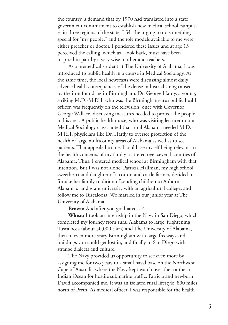the country, a demand that by 1970 had translated into a state government commitment to establish new medical school campuses in three regions of the state. I felt the urging to do something special for "my people," and the role models available to me were either preacher or doctor. I pondered these issues and at age 13 perceived the calling, which as I look back, must have been inspired in part by a very wise mother and teachers.

As a premedical student at The University of Alabama, I was introduced to public health in a course in Medical Sociology. At the same time, the local newscasts were discussing almost daily adverse health consequences of the dense industrial smog caused by the iron foundries in Birmingham. Dr. George Hardy, a young, striking M.D.-M.P.H. who was the Birmingham-area public health officer, was frequently on the television, once with Governor George Wallace, discussing measures needed to protect the people in his area. A public health nurse, who was visiting lecturer to our Medical Sociology class, noted that rural Alabama needed M.D.- M.P.H. physicians like Dr. Hardy to oversee protection of the health of large multicounty areas of Alabama as well as to see patients. That appealed to me. I could see myself being relevant to the health concerns of my family scattered over several counties of Alabama. Thus, I entered medical school at Birmingham with that intention. But I was not alone. Patricia Hallman, my high school sweetheart and daughter of a cotton and cattle farmer, decided to forsake her family tradition of sending children to Auburn, Alabama's land grant university with an agricultural college, and follow me to Tuscaloosa. We married in our junior year at The University of Alabama.

**Brown:** And after you graduated…?

**Wheat:** I took an internship in the Navy in San Diego, which completed my journey from rural Alabama to large, frightening Tuscaloosa (about 50,000 then) and The University of Alabama, then to even more scary Birmingham with large freeways and buildings you could get lost in, and finally to San Diego with strange dialects and culture.

The Navy provided us opportunity to see even more by assigning me for two years to a small naval base on the Northwest Cape of Australia where the Navy kept watch over the southern Indian Ocean for hostile submarine traffic. Patricia and newborn David accompanied me. It was an isolated rural lifestyle, 800 miles north of Perth. As medical officer, I was responsible for the health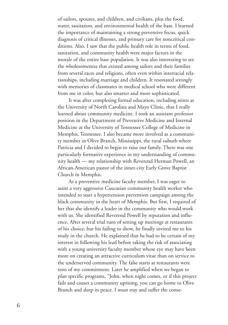of sailors, spouses, and children, and civilians, plus the food, water, sanitation, and environmental health of the base. I learned the importance of maintaining a strong preventive focus, quick diagnosis of critical illnesses, and primary care for noncritical conditions. Also, I saw that the public health role in terms of food, sanitation, and community health were major factors in the morale of the entire base population. It was also interesting to see the wholesomeness that existed among sailors and their families from several races and religions, often even within interracial relationships, including marriage and children. It resonated strongly with memories of classmates in medical school who were different from me in color, but also smarter and more sophisticated.

It was after completing formal education, including stints at the University of North Carolina and Mayo Clinic, that I really learned about community medicine. I took an assistant professor position in the Department of Preventive Medicine and Internal Medicine at the University of Tennessee College of Medicine in Memphis, Tennessee. I also became more involved as a community member in Olive Branch, Mississippi, the rural suburb where Patricia and I decided to begin to raise our family. There was one particularly formative experience in my understanding of community health — my relationship with Reverend Herman Powell, an African-American pastor of the inner-city Early Grove Baptist Church in Memphis.

As a preventive medicine faculty member, I was eager to assist a very aggressive Caucasian community health worker who intended to start a hypertension prevention campaign among the black community in the heart of Memphis. But first, I required of her that she identify a leader in the community who would work with us. She identified Reverend Powell by reputation and influence. After several trial runs of setting up meetings at restaurants of his choice, but his failing to show, he finally invited me to his study in the church. He explained that he had to be certain of my interest in following his lead before taking the risk of associating with a young university faculty member whose eye may have been more on creating an attractive curriculum vitae than on service to the underserved community. The false starts at restaurants were tests of my commitment. Later he amplified when we began to plan specific programs, "John, when night comes, or if this project fails and causes a community uprising, you can go home to Olive Branch and sleep in peace. I must stay and suffer the conse-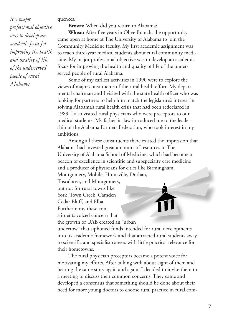#### quences."

*My major*

*people of rural Alabama.*

*professional objective was to develop an academic focus for improving the health and quality of life of the underserved*

**Brown:** When did you return to Alabama?

**Wheat:** After five years in Olive Branch, the opportunity came open at home at The University of Alabama to join the Community Medicine faculty. My first academic assignment was to teach third-year medical students about rural community medicine. My major professional objective was to develop an academic focus for improving the health and quality of life of the underserved people of rural Alabama.

Some of my earliest activities in 1990 were to explore the views of major constituents of the rural health effort. My departmental chairman and I visited with the state health officer who was looking for partners to help him match the legislature's interest in solving Alabama's rural health crisis that had been redeclared in 1989. I also visited rural physicians who were preceptors to our medical students. My father-in-law introduced me to the leadership of the Alabama Farmers Federation, who took interest in my ambitions.

Among all these constituents there existed the impression that Alabama had invested great amounts of resources in The University of Alabama School of Medicine, which had become a beacon of excellence in scientific and subspecialty care medicine and a producer of physicians for cities like Birmingham, Montgomery, Mobile, Huntsville, Dothan,

Tuscaloosa, and Montgomery, but not for rural towns like York, Town Creek, Camden, Cedar Bluff, and Elba. Furthermore, these con-

stituents voiced concern that

the growth of UAB created an "urban undertow" that siphoned funds intended for rural developments into its academic framework and that attracted rural students away to scientific and specialist careers with little practical relevance for their hometowns.

The rural physician preceptors became a potent voice for motivating my efforts. After talking with about eight of them and hearing the same story again and again, I decided to invite them to a meeting to discuss their common concerns. They came and developed a consensus that something should be done about their need for more young doctors to choose rural practice in rural com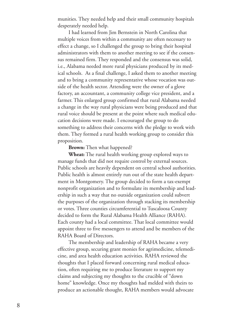munities. They needed help and their small community hospitals desperately needed help.

I had learned from Jim Bernstein in North Carolina that multiple voices from within a community are often necessary to effect a change, so I challenged the group to bring their hospital administrators with them to another meeting to see if the consensus remained firm. They responded and the consensus was solid, i.e., Alabama needed more rural physicians produced by its medical schools. As a final challenge, I asked them to another meeting and to bring a community representative whose vocation was outside of the health sector. Attending were the owner of a glove factory, an accountant, a community college vice president, and a farmer. This enlarged group confirmed that rural Alabama needed a change in the way rural physicians were being produced and that rural voice should be present at the point where such medical education decisions were made. I encouraged the group to do something to address their concerns with the pledge to work with them. They formed a rural health working group to consider this proposition.

#### **Brown:** Then what happened?

**Wheat:** The rural health working group explored ways to manage funds that did not require control by external sources. Public schools are heavily dependent on central school authorities. Public health is almost entirely run out of the state health department in Montgomery. The group decided to form a tax-exempt nonprofit organization and to formulate its membership and leadership in such a way that no outside organization could subvert the purposes of the organization through stacking its membership or votes. Three counties circumferential to Tuscaloosa County decided to form the Rural Alabama Health Alliance (RAHA). Each county had a local committee. That local committee would appoint three to five messengers to attend and be members of the RAHA Board of Directors.

The membership and leadership of RAHA became a very effective group, securing grant monies for agrimedicine, telemedicine, and area health education activities. RAHA reviewed the thoughts that I placed forward concerning rural medical education, often requiring me to produce literature to support my claims and subjecting my thoughts to the crucible of "down home" knowledge. Once my thoughts had melded with theirs to produce an actionable thought, RAHA members would advocate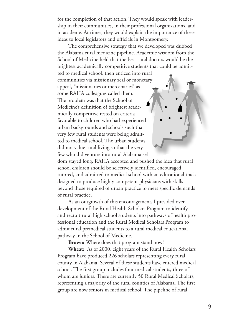for the completion of that action. They would speak with leadership in their communities, in their professional organizations, and in academe. At times, they would explain the importance of these ideas to local legislators and officials in Montgomery.

The comprehensive strategy that we developed was dubbed the Alabama rural medicine pipeline. Academic wisdom from the School of Medicine held that the best rural doctors would be the brightest academically competitive students that could be admit-

ted to medical school, then enticed into rural communities via missionary zeal or monetary appeal, "missionaries or mercenaries" as some RAHA colleagues called them. The problem was that the School of Medicine's definition of brightest academically competitive rested on criteria favorable to children who had experienced urban backgrounds and schools such that very few rural students were being admitted to medical school. The urban students did not value rural living so that the very few who did venture into rural Alabama sel-

dom stayed long. RAHA accepted and pushed the idea that rural school children should be selectively identified, encouraged, tutored, and admitted to medical school with an educational track designed to produce highly competent physicians with skills beyond those required of urban practice to meet specific demands of rural practice.

As an outgrowth of this encouragement, I presided over development of the Rural Health Scholars Program to identify and recruit rural high school students into pathways of health professional education and the Rural Medical Scholars Program to admit rural premedical students to a rural medical educational pathway in the School of Medicine.

**Brown:** Where does that program stand now?

**Wheat:** As of 2000, eight years of the Rural Health Scholars Program have produced 226 scholars representing every rural county in Alabama. Several of these students have entered medical school. The first group includes four medical students, three of whom are juniors. There are currently 50 Rural Medical Scholars, representing a majority of the rural counties of Alabama. The first group are now seniors in medical school. The pipeline of rural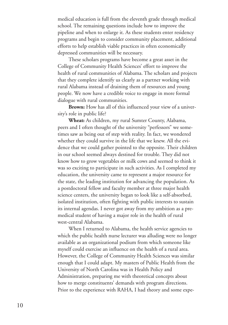medical education is full from the eleventh grade through medical school. The remaining questions include how to improve the pipeline and when to enlarge it. As these students enter residency programs and begin to consider community placement, additional efforts to help establish viable practices in often economically depressed communities will be necessary.

These scholars programs have become a great asset in the College of Community Health Sciences' effort to improve the health of rural communities of Alabama. The scholars and projects that they complete identify us clearly as a partner working with rural Alabama instead of draining them of resources and young people. We now have a credible voice to engage in more formal dialogue with rural communities.

**Brown:** How has all of this influenced your view of a university's role in public life?

**Wheat:** As children, my rural Sumter County, Alabama, peers and I often thought of the university "perfessors" we sometimes saw as being out of step with reality. In fact, we wondered whether they could survive in the life that we knew. All the evidence that we could gather pointed to the opposite. Their children in our school seemed always destined for trouble. They did not know how to grow vegetables or milk cows and seemed to think it was so exciting to participate in such activities. As I completed my education, the university came to represent a major resource for the state, the leading institution for advancing the population. As a postdoctoral fellow and faculty member at three major health science centers, the university began to look like a self-absorbed, isolated institution, often fighting with public interests to sustain its internal agendas. I never got away from my ambition as a premedical student of having a major role in the health of rural west-central Alabama.

When I returned to Alabama, the health service agencies to which the public health nurse lecturer was alluding were no longer available as an organizational podium from which someone like myself could exercise an influence on the health of a rural area. However, the College of Community Health Sciences was similar enough that I could adapt. My masters of Public Health from the University of North Carolina was in Health Policy and Administration, preparing me with theoretical concepts about how to merge constituents' demands with program directions. Prior to the experience with RAHA, I had theory and some expe-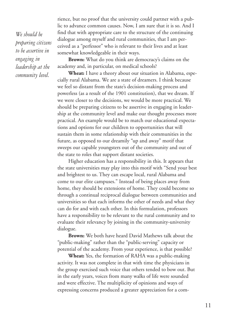*We should be preparing citizens to be assertive in engaging in leadership at the community level.*

rience, but no proof that the university could partner with a public to advance common causes. Now, I am sure that it is so. And I find that with appropriate care to the structure of the continuing dialogue among myself and rural communities, that I am perceived as a "perfessor" who is relevant to their lives and at least somewhat knowledgeable in their ways.

**Brown:** What do you think are democracy's claims on the academy and, in particular, on medical schools?

**Wheat:** I have a theory about our situation in Alabama, especially rural Alabama. We are a state of dreamers. I think because we feel so distant from the state's decision-making process and powerless (as a result of the 1901 constitution), that we dream. If we were closer to the decisions, we would be more practical. We should be preparing citizens to be assertive in engaging in leadership at the community level and make our thought processes more practical. An example would be to match our educational expectations and options for our children to opportunities that will sustain them in some relationship with their communities in the future, as opposed to our dreamily "up and away" motif that sweeps our capable youngsters out of the community and out of the state to roles that support distant societies.

Higher education has a responsibility in this. It appears that the state universities may play into this motif with "Send your best and brightest to us. They can escape local, rural Alabama and come to our elite campuses." Instead of being places away from home, they should be extensions of home. They could become so through a continual reciprocal dialogue between communities and universities so that each informs the other of needs and what they can do for and with each other. In this formulation, professors have a responsibility to be relevant to the rural community and to evaluate their relevancy by joining in the community-university dialogue.

**Brown:** We both have heard David Mathews talk about the "public-making" rather than the "public-serving" capacity or potential of the academy. From your experience, is that possible?

**Wheat:** Yes, the formation of RAHA was a public-making activity. It was not complete in that with time the physicians in the group exercised such voice that others tended to bow out. But in the early years, voices from many walks of life were sounded and were effective. The multiplicity of opinions and ways of expressing concerns produced a greater appreciation for a com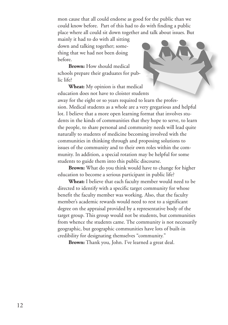mon cause that all could endorse as good for the public than we could know before. Part of this had to do with finding a public place where all could sit down together and talk about issues. But

mainly it had to do with all sitting down and talking together; something that we had not been doing before.

**Brown:** How should medical schools prepare their graduates for public life?

**Wheat:** My opinion is that medical education does not have to cloister students away for the eight or so years required to learn the profession. Medical students as a whole are a very gregarious and helpful lot. I believe that a more open learning format that involves students in the kinds of communities that they hope to serve, to learn the people, to share personal and community needs will lead quite naturally to students of medicine becoming involved with the communities in thinking through and proposing solutions to issues of the community and to their own roles within the community. In addition, a special rotation may be helpful for some students to guide them into this public discourse.

**Brown:** What do you think would have to change for higher education to become a serious participant in public life?

**Wheat:** I believe that each faculty member would need to be directed to identify with a specific target community for whose benefit the faculty member was working. Also, that the faculty member's academic rewards would need to rest to a significant degree on the appraisal provided by a representative body of the target group. This group would not be students, but communities from whence the students came. The community is not necessarily geographic, but geographic communities have lots of built-in credibility for designating themselves "community."

**Brown:** Thank you, John. I've learned a great deal.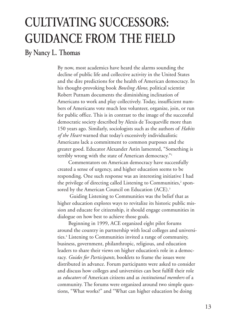# **CULTIVATING SUCCESSORS: GUIDANCE FROM THE FIELD**

#### **By Nancy L. Thomas**

By now, most academics have heard the alarms sounding the decline of public life and collective activity in the United States and the dire predictions for the health of American democracy. In his thought-provoking book *Bowling Alone*, political scientist Robert Putnam documents the diminishing inclination of Americans to work and play collectively. Today, insufficient numbers of Americans vote much less volunteer, organize, join, or run for public office. This is in contrast to the image of the successful democratic society described by Alexis de Tocqueville more than 150 years ago. Similarly, sociologists such as the authors of *Habits of the Heart* warned that today's excessively individualistic Americans lack a commitment to common purposes and the greater good. Educator Alexander Astin lamented, "Something is terribly wrong with the state of American democracy."1

Commentators on American democracy have successfully created a sense of urgency, and higher education seems to be responding. One such response was an interesting initiative I had the privilege of directing called Listening to Communities, <sup>2</sup> sponsored by the American Council on Education (ACE). 3

Guiding Listening to Communities was the belief that as higher education explores ways to revitalize its historic public mission and educate for citizenship, it should engage communities in dialogue on how best to achieve those goals.

Beginning in 1999, ACE organized eight pilot forums around the country in partnership with local colleges and universities. <sup>4</sup> Listening to Communities invited a range of community, business, government, philanthropic, religious, and education leaders to share their views on higher education's role in a democracy. *Guides for Participants,* booklets to frame the issues were distributed in advance. Forum participants were asked to consider and discuss how colleges and universities can best fulfill their role as *educators* of American citizens and as *institutional members* of a community. The forums were organized around two simple questions, "What works?" and "What can higher education be doing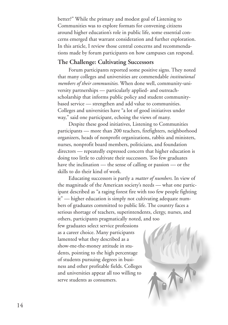better?" While the primary and modest goal of Listening to Communities was to explore formats for convening citizens around higher education's role in public life, some essential concerns emerged that warrant consideration and further exploration. In this article, I review those central concerns and recommendations made by forum participants on how campuses can respond.

#### **The Challenge: Cultivating Successors**

Forum participants reported some positive signs. They noted that many colleges and universities are commendable *institutional members of their communities*. When done well, community-university partnerships — particularly applied- and outreachscholarship that informs public policy and student communitybased service — strengthen and add value to communities. Colleges and universities have "a lot of good initiatives under way," said one participant, echoing the views of many.

Despite these good initiatives, Listening to Communities participants — more than 200 teachers, firefighters, neighborhood organizers, heads of nonprofit organizations, rabbis and ministers, nurses, nonprofit board members, politicians, and foundation directors — repeatedly expressed concern that higher education is doing too little to cultivate their successors. Too few graduates have the inclination — the sense of calling or passion — or the skills to do their kind of work.

Educating successors is partly a *matter of numbers*. In view of the magnitude of the American society's needs — what one participant described as "a raging forest fire with too few people fighting it" — higher education is simply not cultivating adequate numbers of graduates committed to public life. The country faces a serious shortage of teachers, superintendents, clergy, nurses, and others, participants pragmatically noted, and too

few graduates select service professions as a career choice. Many participants lamented what they described as a show-me-the-money attitude in students, pointing to the high percentage of students pursuing degrees in business and other profitable fields. Colleges and universities appear all too willing to serve students as consumers.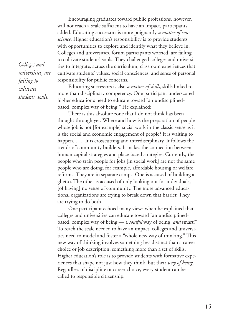Encouraging graduates toward public professions, however, will not reach a scale sufficient to have an impact, participants added. Educating successors is more poignantly *a matter of conscience*. Higher education's responsibility is to provide students with opportunities to explore and identify what they believe in. Colleges and universities, forum participants worried, are failing to cultivate students' souls. They challenged colleges and universities to integrate, across the curriculum, classroom experiences that cultivate students' values, social consciences, and sense of personal responsibility for public concerns.

Educating successors is also *a matter of skills*, skills linked to more than disciplinary competency. One participant underscored higher education's need to educate toward "an undisciplinedbased, complex way of being." He explained:

There is this absolute zone that I do not think has been thought through yet. Where and how is the preparation of people whose job is not [for example] social work in the classic sense as it is the social and economic engagement of people? It is waiting to happen. . . . It is crosscutting and interdisciplinary. It follows the trends of community builders. It makes the connection between human capital strategies and place-based strategies. Currently, the people who train people for jobs [in social work] are not the same people who are doing, for example, affordable housing or welfare reforms. They are in separate camps. One is accused of building a ghetto. The other is accused of only looking out for individuals, [of having] no sense of community. The more advanced educational organizations are trying to break down that barrier. They are trying to do both.

One participant echoed many views when he explained that colleges and universities can educate toward "an undisciplinedbased, complex way of being — a *soulful* way of being, *and* smart!" To reach the scale needed to have an impact, colleges and universities need to model and foster a "whole new way of thinking." This new way of thinking involves something less distinct than a career choice or job description, something more than a set of skills. Higher education's role is to provide students with formative experiences that shape not just how they think, but their *way of being*. Regardless of discipline or career choice, every student can be called to responsible citizenship.

*Colleges and universities, are failing to cultivate students' souls.*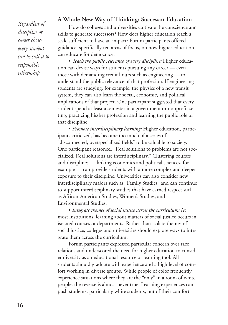*Regardless of discipline or career choice, every student can be called to responsible citizenship.*

#### **A Whole New Way of Thinking: Successor Education**

How do colleges and universities cultivate the conscience and skills to generate successors? How does higher education reach a scale sufficient to have an impact? Forum participants offered guidance, specifically ten areas of focus, on how higher education can educate for democracy:

• *Teach the public relevance of every discipline:* Higher education can devise ways for students pursuing any career — even those with demanding credit hours such as engineering — to understand the public relevance of that profession. If engineering students are studying, for example, the physics of a new transit system, they can also learn the social, economic, and political implications of that project. One participant suggested that every student spend at least a semester in a government or nonprofit setting, practicing his/her profession and learning the public role of that discipline.

• *Promote interdisciplinary learning:* Higher education, participants criticized, has become too much of a series of "disconnected, overspecialized fields" to be valuable to society. One participant reasoned, "Real solutions to problems are not specialized. Real solutions are interdisciplinary." Clustering courses and disciplines — linking economics and political sciences, for example — can provide students with a more complex and deeper exposure to their discipline. Universities can also consider new interdisciplinary majors such as "Family Studies" and can continue to support interdisciplinary studies that have earned respect such as African-American Studies, Women's Studies, and Environmental Studies.

• *Integrate themes of social justice across the curriculum:* At most institutions, learning about matters of social justice occurs in isolated courses or departments. Rather than isolate themes of social justice, colleges and universities should explore ways to integrate them across the curriculum.

Forum participants expressed particular concern over race relations and underscored the need for higher education to consider diversity as an educational resource or learning tool. All students should graduate with experience and a high level of comfort working in diverse groups. While people of color frequently experience situations where they are the "only" in a room of white people, the reverse is almost never true. Learning experiences can push students, particularly white students, out of their comfort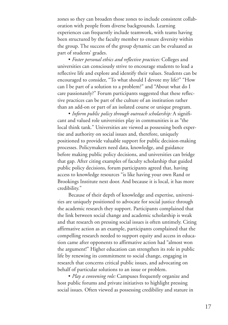zones so they can broaden those zones to include consistent collaboration with people from diverse backgrounds. Learning experiences can frequently include teamwork, with teams having been structured by the faculty member to ensure diversity within the group. The success of the group dynamic can be evaluated as part of students' grades.

• *Foster personal ethics and reflective practices:* Colleges and universities can consciously strive to encourage students to lead a reflective life and explore and identify their values. Students can be encouraged to consider, "To what should I devote my life?" "How can I be part of a solution to a problem?" and "About what do I care passionately?" Forum participants suggested that these reflective practices can be part of the culture of an institution rather than an add-on or part of an isolated course or unique program.

• *Inform public policy through outreach scholarship:* A significant and valued role universities play in communities is as "the local think tank." Universities are viewed as possessing both expertise and authority on social issues and, therefore, uniquely positioned to provide valuable support for public decision-making processes. Policymakers need data, knowledge, and guidance before making public policy decisions, and universities can bridge that gap. After citing examples of faculty scholarship that guided public policy decisions, forum participants agreed that, having access to knowledge resources "is like having your own Rand or Brookings Institute next door. And because it is local, it has more credibility."

Because of their depth of knowledge and expertise, universities are uniquely positioned to advocate for social justice through the academic research they support. Participants complained that the link between social change and academic scholarship is weak and that research on pressing social issues is often untimely. Citing affirmative action as an example, participants complained that the compelling research needed to support equity and access in education came after opponents to affirmative action had "almost won the argument!" Higher education can strengthen its role in public life by renewing its commitment to social change, engaging in research that concerns critical public issues, and advocating on behalf of particular solutions to an issue or problem.

• *Play a convening role:* Campuses frequently organize and host public forums and private initiatives to highlight pressing social issues. Often viewed as possessing credibility and stature in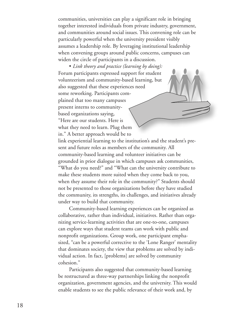communities, universities can play a significant role in bringing together interested individuals from private industry, government, and communities around social issues. This convening role can be particularly powerful when the university president visibly assumes a leadership role. By leveraging institutional leadership when convening groups around public concerns, campuses can widen the circle of participants in a discussion.

• *Link theory and practice (learning by doing):* Forum participants expressed support for student volunteerism and community-based learning, but also suggested that these experiences need some reworking. Participants complained that too many campuses present interns to communitybased organizations saying, "Here are our students. Here is what they need to learn. Plug them in." A better approach would be to link experiential learning to the institution's and the student's present and future roles as members of the community. All community-based learning and volunteer initiatives can be grounded in prior dialogue in which campuses ask communities, "What do you need?" and "What can the university contribute to make these students more suited when they come back to you, when they assume their role in the community?" Students should not be presented to those organizations before they have studied the community, its strengths, its challenges, and initiatives already

Community-based learning experiences can be organized as collaborative, rather than individual, initiatives. Rather than organizing service-learning activities that are one-to-one, campuses can explore ways that student teams can work with public and nonprofit organizations. Group work, one participant emphasized, "can be a powerful corrective to the 'Lone Ranger' mentality that dominates society, the view that problems are solved by individual action. In fact, [problems] are solved by community cohesion."

under way to build that community.

Participants also suggested that community-based learning be restructured as three-way partnerships linking the nonprofit organization, government agencies, and the university. This would enable students to see the public relevance of their work and, by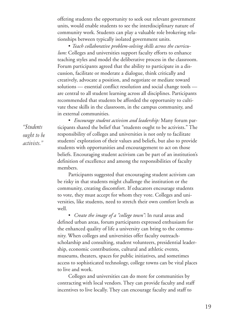offering students the opportunity to seek out relevant government units, would enable students to see the interdisciplinary nature of community work. Students can play a valuable role brokering relationships between typically isolated government units.

• *Teach collaborative problem-solving skills across the curriculum:* Colleges and universities support faculty efforts to enhance teaching styles and model the deliberative process in the classroom. Forum participants agreed that the ability to participate in a discussion, facilitate or moderate a dialogue, think critically and creatively, advocate a position, and negotiate or mediate toward solutions — essential conflict resolution and social change tools are central to all student learning across all disciplines. Participants recommended that students be afforded the opportunity to cultivate these skills in the classroom, in the campus community, and in external communities.

*"Students ought to be activists."*

• *Encourage student activism and leadership:* Many forum participants shared the belief that "students ought to be activists." The responsibility of colleges and universities is not only to facilitate students' exploration of their values and beliefs, but also to provide students with opportunities and encouragement to act on those beliefs. Encouraging student activism can be part of an institution's definition of excellence and among the responsibilities of faculty members.

Participants suggested that encouraging student activism can be risky in that students might challenge the institution or the community, creating discomfort. If educators encourage students to vote, they must accept for whom they vote. Colleges and universities, like students, need to stretch their own comfort levels as well.

• *Create the image of a "college town":* In rural areas and defined urban areas, forum participants expressed enthusiasm for the enhanced quality of life a university can bring to the community. When colleges and universities offer faculty outreachscholarship and consulting, student volunteers, presidential leadership, economic contributions, cultural and athletic events, museums, theaters, spaces for public initiatives, and sometimes access to sophisticated technology, college towns can be vital places to live and work.

Colleges and universities can do more for communities by contracting with local vendors. They can provide faculty and staff incentives to live locally. They can encourage faculty and staff to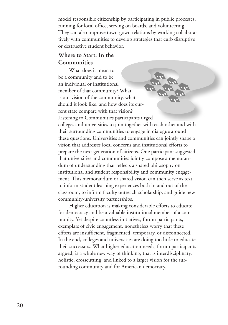model responsible citizenship by participating in public processes, running for local office, serving on boards, and volunteering. They can also improve town-gown relations by working collaboratively with communities to develop strategies that curb disruptive or destructive student behavior.

#### **Where to Start: In the Communities**

What does it mean to be a community and to be an individual or institutional member of that community? What is our vision of the community, what should it look like, and how does its current state compare with that vision? Listening to Communities participants urged colleges and universities to join together with each other and with their surrounding communities to engage in dialogue around these questions. Universities and communities can jointly shape a vision that addresses local concerns and institutional efforts to prepare the next generation of citizens. One participant suggested that universities and communities jointly compose a memorandum of understanding that reflects a shared philosophy on institutional and student responsibility and community engagement. This memorandum or shared vision can then serve as text to inform student learning experiences both in and out of the classroom, to inform faculty outreach-scholarship, and guide new community-university partnerships.

Higher education is making considerable efforts to educate for democracy and be a valuable institutional member of a community. Yet despite countless initiatives, forum participants, exemplars of civic engagement, nonetheless worry that these efforts are insufficient, fragmented, temporary, or disconnected. In the end, colleges and universities are doing too little to educate their successors. What higher education needs, forum participants argued, is a whole new way of thinking, that is interdisciplinary, holistic, crosscutting, and linked to a larger vision for the surrounding community and for American democracy.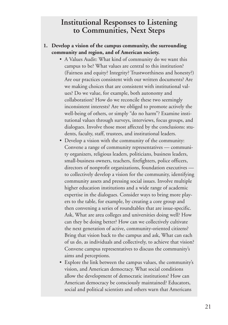#### **Institutional Responses to Listening to Communities, Next Steps**

#### **1. Develop a vision of the campus community, the surrounding community and region, and of American society.**

- A Values Audit: What kind of community do we want this campus to be? What values are central to this institution? (Fairness and equity? Integrity? Trustworthiness and honesty?) Are our practices consistent with our written documents? Are we making choices that are consistent with institutional values? Do we value, for example, both autonomy and collaboration? How do we reconcile these two seemingly inconsistent interests? Are we obliged to promote actively the well-being of others, or simply "do no harm"? Examine institutional values through surveys, interviews, focus groups, and dialogues. Involve those most affected by the conclusions: students, faculty, staff, trustees, and institutional leaders.
- Develop a vision with the community of the community: Convene a range of community representatives — community organizers, religious leaders, politicians, business leaders, small-business owners, teachers, firefighters, police officers, directors of nonprofit organizations, foundation executives to collectively develop a vision for the community, identifying community assets and pressing social issues. Involve multiple higher education institutions and a wide range of academic expertise in the dialogues. Consider ways to bring more players to the table, for example, by creating a core group and then convening a series of roundtables that are issue-specific. Ask, What are area colleges and universities doing well? How can they be doing better? How can we collectively cultivate the next generation of active, community-oriented citizens? Bring that vision back to the campus and ask, What can each of us do, as individuals and collectively, to achieve that vision? Convene campus representatives to discuss the community's aims and perceptions.
- Explore the link between the campus values, the community's vision, and American democracy. What social conditions allow the development of democratic institutions? How can American democracy be consciously maintained? Educators, social and political scientists and others warn that Americans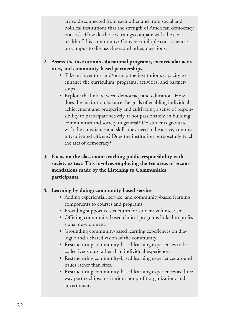are so disconnected from each other and from social and political institutions that the strength of American democracy is at risk. How do these warnings compare with the civic health of this community? Convene multiple constituencies on campus to discuss these, and other, questions.

- **2. Assess the institution's educational programs, cocurricular activities, and community-based partnerships.**
	- Take an inventory and/or map the institution's capacity to enhance the curriculum, programs, activities, and partnerships.
	- Explore the link between democracy and education. How does the institution balance the goals of enabling individual achievement and prosperity and cultivating a sense of responsibility to participate actively, if not passionately, in building communities and society in general? Do students graduate with the conscience and skills they need to be active, community-oriented citizens? Does the institution purposefully teach the arts of democracy?
- **3. Focus on the classroom: teaching public responsibility with society as text. This involves employing the ten areas of recommendations made by the Listening to Communities participants.**

#### **4. Learning by doing: community-based service**

- Adding experiential, service, and community-based learning components to courses and programs.
- Providing supportive structures for student volunteerism.
- Offering community-based clinical programs linked to professional development.
- Grounding community-based learning experiences on dialogue and a shared vision of the community.
- Restructuring community-based learning experiences to be collective/group rather than individual experiences.
- Restructuring community-based learning experiences around issues rather than sites.
- Restructuring community-based learning experiences as threeway partnerships: institution, nonprofit organization, and government.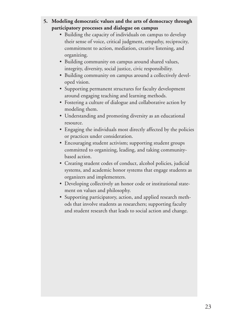#### **5. Modeling democratic values and the arts of democracy through participatory processes and dialogue on campus**

- Building the capacity of individuals on campus to develop their sense of voice, critical judgment, empathy, reciprocity, commitment to action, mediation, creative listening, and organizing.
- Building community on campus around shared values, integrity, diversity, social justice, civic responsibility.
- Building community on campus around a collectively developed vision.
- Supporting permanent structures for faculty development around engaging teaching and learning methods.
- Fostering a culture of dialogue and collaborative action by modeling them.
- Understanding and promoting diversity as an educational resource.
- Engaging the individuals most directly affected by the policies or practices under consideration.
- Encouraging student activism; supporting student groups committed to organizing, leading, and taking communitybased action.
- Creating student codes of conduct, alcohol policies, judicial systems, and academic honor systems that engage students as organizers and implementers.
- Developing collectively an honor code or institutional statement on values and philosophy.
- Supporting participatory, action, and applied research methods that involve students as researchers; supporting faculty and student research that leads to social action and change.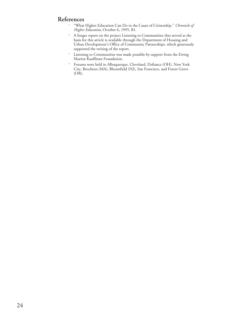#### **References**

- <sup>1</sup> "What Higher Education Can Do in the Cause of Citizenship." *Chronicle of Higher Education*, October 6, 1995, B1.
- <sup>2</sup> A longer report on the project Listening to Communities that served as the basis for this article is available through the Department of Housing and Urban Development's Office of Community Partnerships, which generously supported the writing of the report.
- <sup>3</sup> Listening to Communities was made possible by support from the Ewing Marion Kauffman Foundation.
- <sup>4</sup> Forums were held in Albuquerque, Cleveland, Defiance (OH), New York City, Brochton (MA), Bloomfield (NJ), San Francisco, and Forest Grove (OR).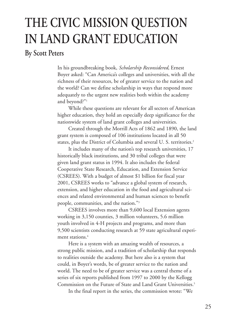# **THE CIVIC MISSION QUESTION IN LAND GRANT EDUCATION**

**By Scott Peters**

In his groundbreaking book, *Scholarship Reconsidered*, Ernest Boyer asked: "Can America's colleges and universities, with all the richness of their resources, be of greater service to the nation and the world? Can we define scholarship in ways that respond more adequately to the urgent new realities both within the academy and beyond?"1

While these questions are relevant for all sectors of American higher education, they hold an especially deep significance for the nationwide system of land grant colleges and universities.

Created through the Morrill Acts of 1862 and 1890, the land grant system is composed of 106 institutions located in all 50 states, plus the District of Columbia and several U. S. territories. 2

It includes many of the nation's top research universities, 17 historically black institutions, and 30 tribal colleges that were given land grant status in 1994. It also includes the federal Cooperative State Research, Education, and Extension Service (CSREES). With a budget of almost \$1 billion for fiscal year 2001, CSREES works to "advance a global system of research, extension, and higher education in the food and agricultural sciences and related environmental and human sciences to benefit people, communities, and the nation."3

CSREES involves more than 9,600 local Extension agents working in 3,150 counties, 3 million volunteers, 5.6 million youth involved in 4-H projects and programs, and more than 9,500 scientists conducting research at 59 state agricultural experiment stations. 4

Here is a system with an amazing wealth of resources, a strong public mission, and a tradition of scholarship that responds to realities outside the academy. But here also is a system that could, in Boyer's words, be of greater service to the nation and world. The need to be of greater service was a central theme of a series of six reports published from 1997 to 2000 by the Kellogg Commission on the Future of State and Land Grant Universities. 5

In the final report in the series, the commission wrote: "We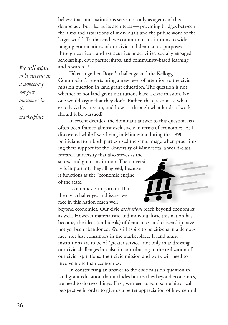believe that our institutions serve not only as agents of this democracy, but also as its architects — providing bridges between the aims and aspirations of individuals and the public work of the larger world. To that end, we commit our institutions to wideranging examinations of our civic and democratic purposes through curricula and extracurricular activities, socially engaged scholarship, civic partnerships, and community-based learning and research."6

Taken together, Boyer's challenge and the Kellogg Commission's reports bring a new level of attention to the civic mission question in land grant education. The question is not whether or not land grant institutions have a civic mission. No one would argue that they don't. Rather, the question is, what exactly *is* this mission, and how — through what kinds of work should it be pursued?

In recent decades, the dominant answer to this question has often been framed almost exclusively in terms of economics. As I discovered while I was living in Minnesota during the 1990s, politicians from both parties used the same image when proclaiming their support for the University of Minnesota, a world-class research university that also serves as the

state's land grant institution. The university is important, they all agreed, because it functions as the "economic engine" of the state.

Economics is important. But the civic challenges and issues we face in this nation reach well

beyond economics. Our civic *aspirations* reach beyond economics as well. However materialistic and individualistic this nation has become, the ideas (and ideals) of democracy and citizenship have not yet been abandoned. We still aspire to be citizens in a democracy, not just consumers in the marketplace. If land grant institutions are to be of "greater service" not only in addressing our civic challenges but also in contributing to the realization of our civic aspirations, their civic mission and work will need to involve more than economics.

In constructing an answer to the civic mission question in land grant education that includes but reaches beyond economics, we need to do two things. First, we need to gain some historical perspective in order to give us a better appreciation of how central

*We still aspire to be citizens in a democracy, not just consumers in the marketplace.*

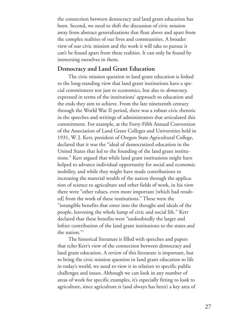the connection between democracy and land grant education has been. Second, we need to shift the discussion of civic mission away from abstract generalizations that float above and apart from the complex realities of our lives and communities. A broader view of our civic mission and the work it will take to pursue it can't be found apart from these realities. It can only be found by immersing ourselves in them.

#### **Democracy and Land Grant Education**

The civic mission question in land grant education is linked to the long-standing view that land grant institutions have a special commitment not just to economics, but also to *democracy*, expressed in terms of the institutions' approach to education and the ends they aim to achieve. From the late nineteenth century through the World War II period, there was a robust civic rhetoric in the speeches and writings of administrators that articulated this commitment. For example, at the Forty-Fifth Annual Convention of the Association of Land Grant Colleges and Universities held in 1931, W. J. Kerr, president of Oregon State Agricultural College, declared that it was the "ideal of democratized education in the United States that led to the founding of the land grant institutions." Kerr argued that while land grant institutions might have helped to advance individual opportunity for social and economic mobility, and while they might have made contributions to increasing the material wealth of the nation through the application of science to agriculture and other fields of work, in his view there were "other values, even more important [which had resulted] from the work of these institutions." These were the "intangible benefits that enter into the thought and ideals of the people, leavening the whole lump of civic and social life." Kerr declared that these benefits were "undoubtedly the larger and loftier contribution of the land grant institutions to the states and the nation."7

The historical literature is filled with speeches and papers that echo Kerr's view of the connection between democracy and land grant education. A review of this literature is important, but to bring the civic mission question in land grant education to life in today's world, we need to view it in relation to specific public challenges and issues. Although we can look in any number of areas of work for specific examples, it's especially fitting to look to agriculture, since agriculture is (and always has been) a key area of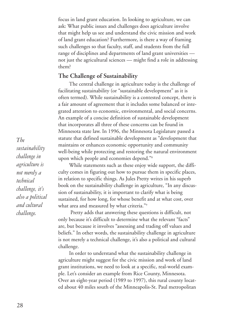focus in land grant education. In looking to agriculture, we can ask: What public issues and challenges does agriculture involve that might help us see and understand the civic mission and work of land grant education? Furthermore, is there a way of framing such challenges so that faculty, staff, and students from the full range of disciplines and departments of land grant universities not just the agricultural sciences — might find a role in addressing them?

#### **The Challenge of Sustainability**

The central challenge in agriculture today is the challenge of facilitating sustainability (or "sustainable development" as it is often termed). While sustainability is a contested concept, there is a fair amount of agreement that it includes some balanced or integrated attention to economic, environmental, and social concerns. An example of a concise definition of sustainable development that incorporates all three of these concerns can be found in Minnesota state law. In 1996, the Minnesota Legislature passed a statute that defined sustainable development as "development that maintains or enhances economic opportunity and community well-being while protecting and restoring the natural environment upon which people and economies depend."8

While statements such as these enjoy wide support, the difficulty comes in figuring out how to pursue them in specific places, in relation to specific things. As Jules Pretty writes in his superb book on the sustainability challenge in agriculture, "In any discussion of sustainability, it is important to clarify what is being sustained, for how long, for whose benefit and at what cost, over what area and measured by what criteria."<sup>9</sup>

Pretty adds that answering these questions is difficult, not only because it's difficult to determine what the relevant "facts" are, but because it involves "assessing and trading off values and beliefs." In other words, the sustainability challenge in agriculture is not merely a technical challenge, it's also a political and cultural challenge.

In order to understand what the sustainability challenge in agriculture might suggest for the civic mission and work of land grant institutions, we need to look at a specific, real-world example. Let's consider an example from Rice County, Minnesota. Over an eight-year period (1989 to 1997), this rural county located about 40 miles south of the Minneapolis-St. Paul metropolitan

*The sustainability challenge in agriculture is not merely a technical challenge, it's also a political and cultural challenge.*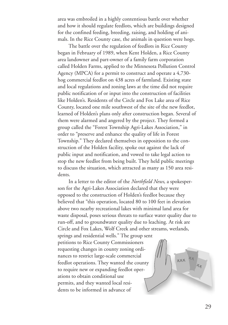area was embroiled in a highly contentious battle over whether and how it should regulate feedlots, which are buildings designed for the confined feeding, breeding, raising, and holding of animals. In the Rice County case, the animals in question were hogs.

The battle over the regulation of feedlots in Rice County began in February of 1989, when Kent Holden, a Rice County area landowner and part-owner of a family farm corporation called Holden Farms, applied to the Minnesota Pollution Control Agency (MPCA) for a permit to construct and operate a 4,730 hog commercial feedlot on 438 acres of farmland. Existing state and local regulations and zoning laws at the time did not require public notification of or input into the construction of facilities like Holden's. Residents of the Circle and Fox Lake area of Rice County, located one mile southwest of the site of the new feedlot, learned of Holden's plans only after construction began. Several of them were alarmed and angered by the project. They formed a group called the "Forest Township Agri-Lakes Association," in order to "preserve and enhance the quality of life in Forest Township." They declared themselves in opposition to the construction of the Holden facility, spoke out against the lack of public input and notification, and vowed to take legal action to stop the new feedlot from being built. They held public meetings to discuss the situation, which attracted as many as 150 area residents.

In a letter to the editor of the *Northfield News*, a spokesperson for the Agri-Lakes Association declared that they were opposed to the construction of Holden's feedlot because they believed that "this operation, located 80 to 100 feet in elevation above two nearby recreational lakes with minimal land area for waste disposal, poses serious threats to surface water quality due to run-off, and to groundwater quality due to leaching. At risk are Circle and Fox Lakes, Wolf Creek and other streams, wetlands,

springs and residential wells." The group sent petitions to Rice County Commissioners requesting changes in county zoning ordinances to restrict large-scale commercial feedlot operations. They wanted the county to require new or expanding feedlot operations to obtain conditional use permits, and they wanted local residents to be informed in advance of

**XXX**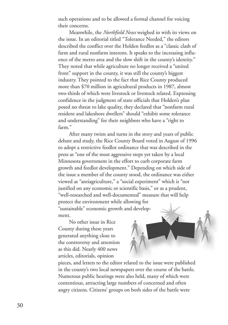such operations and to be allowed a formal channel for voicing their concerns.

Meanwhile, the *Northfield News* weighed in with its views on the issue. In an editorial titled "Tolerance Needed," the editors described the conflict over the Holden feedlot as a "classic clash of farm and rural nonfarm interests. It speaks to the increasing influence of the metro area and the slow shift in the county's identity." They noted that while agriculture no longer received a "united front" support in the county, it was still the county's biggest industry. They pointed to the fact that Rice County produced more than \$70 million in agricultural products in 1987, almost two-thirds of which were livestock or livestock related. Expressing confidence in the judgment of state officials that Holden's plan posed no threat to lake quality, they declared that "nonfarm rural resident and lakeshore dwellers" should "exhibit some tolerance and understanding" for their neighbors who have a "right to farm."

After many twists and turns in the story and years of public debate and study, the Rice County Board voted in August of 1996 to adopt a restrictive feedlot ordinance that was described in the press as "one of the most aggressive steps yet taken by a local Minnesota government in the effort to curb corporate farm growth and feedlot development." Depending on which side of the issue a member of the county stood, the ordinance was either viewed as "antiagriculture," a "social experiment" which is "not justified on any economic or scientific basis," or as a prudent, "well-researched and well-documented" measure that will help protect the environment while allowing for "sustainable" economic growth and development.

No other issue in Rice County during these years generated anything close to the controversy and attention as this did. Nearly 400 news articles, editorials, opinion

pieces, and letters to the editor related to the issue were published in the county's two local newspapers over the course of the battle. Numerous public hearings were also held, many of which were contentious, attracting large numbers of concerned and often angry citizens. Citizens' groups on both sides of the battle were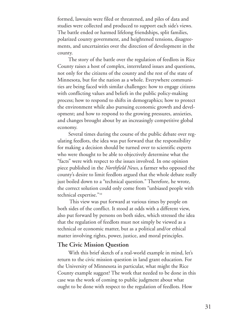formed, lawsuits were filed or threatened, and piles of data and studies were collected and produced to support each side's views. The battle ended or harmed lifelong friendships, split families, polarized county government, and heightened tensions, disagreements, and uncertainties over the direction of development in the county.

The story of the battle over the regulation of feedlots in Rice County raises a host of complex, interrelated issues and questions, not only for the citizens of the county and the rest of the state of Minnesota, but for the nation as a whole. Everywhere communities are being faced with similar challenges: how to engage citizens with conflicting values and beliefs in the public policy-making process; how to respond to shifts in demographics; how to protect the environment while also pursuing economic growth and development; and how to respond to the growing pressures, anxieties, and changes brought about by an increasingly competitive global economy.

Several times during the course of the public debate over regulating feedlots, the idea was put forward that the responsibility for making a decision should be turned over to scientific experts who were thought to be able to objectively determine what the "facts" were with respect to the issues involved. In one opinion piece published in the *Northfield News*, a farmer who opposed the county's desire to limit feedlots argued that the whole debate really just boiled down to a "technical question." Therefore, he wrote, the correct solution could only come from "unbiased people with technical expertise."10

This view was put forward at various times by people on both sides of the conflict. It stood at odds with a different view, also put forward by persons on both sides, which stressed the idea that the regulation of feedlots must not simply be viewed as a technical or economic matter, but as a political and/or ethical matter involving rights, power, justice, and moral principles.

#### **The Civic Mission Question**

With this brief sketch of a real-world example in mind, let's return to the civic mission question in land grant education. For the University of Minnesota in particular, what might the Rice County example suggest? The work that needed to be done in this case was the work of coming to public judgment about what ought to be done with respect to the regulation of feedlots. How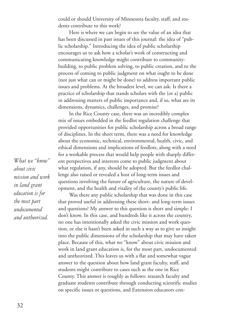could or should University of Minnesota faculty, staff, and students contribute to this work?

Here is where we can begin to see the value of an idea that has been discussed in past issues of this journal: the idea of "public scholarship." Introducing the idea of public scholarship encourages us to ask how a scholar's work of constructing and communicating knowledge might contribute to communitybuilding, to public problem solving, to public creation, and to the process of coming to public judgment on what ought to be done (not just what can or might be done) to address important public issues and problems. At the broadest level, we can ask: Is there a practice of scholarship that stands scholars with the (or a) public in addressing matters of public importance and, if so, what are its dimensions, dynamics, challenges, and promise?

In the Rice County case, there was an incredibly complex mix of issues embedded in the feedlot regulation challenge that provided opportunities for public scholarship across a broad range of disciplines. In the short term, there was a need for knowledge about the economic, technical, environmental, health, civic, and ethical dimensions and implications of feedlots, along with a need for a workable process that would help people with sharply different perspectives and interests come to public judgment about what regulation, if any, should be adopted. But the feedlot challenge also raised or revealed a host of long-term issues and questions involving the future of agriculture, the nature of development, and the health and vitality of the county's public life.

Was there any public scholarship that was done in this case that proved useful in addressing these short- and long-term issues and questions? My answer to this question is short and simple: I don't know. In this case, and hundreds like it across the country, no one has intentionally asked the civic mission and work question, or else it hasn't been asked in such a way as to give us insight into the public dimensions of the scholarship that may have taken place. Because of this, what we "know" about civic mission and work in land grant education is, for the most part, undocumented and untheorized. This leaves us with a flat and somewhat vague answer to the question about how land grant faculty, staff, and students might contribute to cases such as the one in Rice County. This answer is roughly as follows: research faculty and graduate students contribute through conducting scientific studies on specific issues or questions, and Extension educators con-

*What we "know" about civic mission and work in land grant education is for the most part undocumented and untheorized.*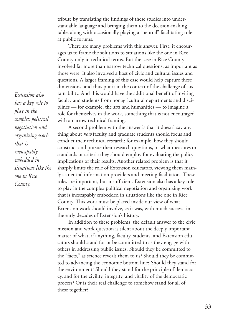tribute by translating the findings of these studies into understandable language and bringing them to the decision-making table, along with occasionally playing a "neutral" facilitating role at public forums.

There are many problems with this answer. First, it encourages us to frame the solutions to situations like the one in Rice County only in technical terms. But the case in Rice County involved far more than narrow technical questions, as important as those were. It also involved a host of civic and cultural issues and questions. A larger framing of this case would help capture these dimensions, and thus put it in the context of the challenge of sustainability. And this would have the additional benefit of inviting faculty and students from nonagricultural departments and disciplines — for example, the arts and humanities — to imagine a role for themselves in the work, something that is not encouraged with a narrow technical framing.

A second problem with the answer is that it doesn't say anything about *how* faculty and graduate students should focus and conduct their technical research: for example, how they should construct and pursue their research questions, or what measures or standards or criteria they should employ for evaluating the policy implications of their results. Another related problem is that it sharply limits the role of Extension educators, viewing them mainly as neutral information providers and meeting facilitators. These roles are important, but insufficient. Extension also has a key role to play in the complex political negotiation and organizing work that is inescapably embedded in situations like the one in Rice County. This work must be placed inside our view of what Extension work should involve, as it was, with much success, in the early decades of Extension's history.

In addition to these problems, the default answer to the civic mission and work question is silent about the deeply important matter of what, if anything, faculty, students, and Extension educators should stand for or be committed to as they engage with others in addressing public issues. Should they be committed to the "facts," as science reveals them to us? Should they be committed to advancing the economic bottom line? Should they stand for the environment? Should they stand for the principle of democracy, and for the civility, integrity, and vitality of the democratic process? Or is their real challenge to somehow stand for all of these together?

*Extension also has a key role to play in the complex political negotiation and organizing work that is inescapably embedded in situations like the one in Rice County.*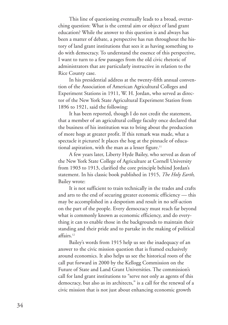This line of questioning eventually leads to a broad, overarching question: What is the central aim or object of land grant education? While the answer to this question is and always has been a matter of debate, a perspective has run throughout the history of land grant institutions that sees it as having something to do with democracy. To understand the essence of this perspective, I want to turn to a few passages from the old civic rhetoric of administrators that are particularly instructive in relation to the Rice County case.

In his presidential address at the twenty-fifth annual convention of the Association of American Agricultural Colleges and Experiment Stations in 1911, W. H. Jordan, who served as director of the New York State Agricultural Experiment Station from 1896 to 1921, said the following:

It has been reported, though I do not credit the statement, that a member of an agricultural college faculty once declared that the business of his institution was to bring about the production of more hogs at greater profit. If this remark was made, what a spectacle it pictures! It places the hog at the pinnacle of educational aspiration, with the man as a lesser figure.<sup>11</sup>

A few years later, Liberty Hyde Bailey, who served as dean of the New York State College of Agriculture at Cornell University from 1903 to 1913, clarified the core principle behind Jordan's statement. In his classic book published in 1915, *The Holy Earth*, Bailey wrote:

It is not sufficient to train technically in the trades and crafts and arts to the end of securing greater economic efficiency — this may be accomplished in a despotism and result in no self-action on the part of the people. Every democracy must reach far beyond what is commonly known as economic efficiency, and do everything it can to enable those in the backgrounds to maintain their standing and their pride and to partake in the making of political affairs. 12

Bailey's words from 1915 help us see the inadequacy of an answer to the civic mission question that is framed exclusively around economics. It also helps us see the historical roots of the call put forward in 2000 by the Kellogg Commission on the Future of State and Land Grant Universities. The commission's call for land grant institutions to "serve not only as agents of this democracy, but also as its architects," is a call for the renewal of a civic mission that is not just about enhancing economic growth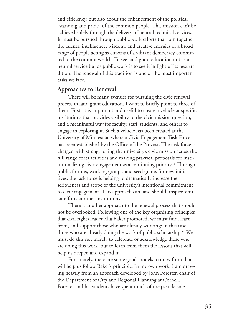and efficiency, but also about the enhancement of the political "standing and pride" of the common people. This mission can't be achieved solely through the delivery of neutral technical services. It must be pursued through public work efforts that join together the talents, intelligence, wisdom, and creative energies of a broad range of people acting as citizens of a vibrant democracy committed to the commonwealth. To see land grant education not as a neutral service but as public work is to see it in light of its best tradition. The renewal of this tradition is one of the most important tasks we face.

#### **Approaches to Renewal**

There will be many avenues for pursuing the civic renewal process in land grant education. I want to briefly point to three of them. First, it is important and useful to create a vehicle at specific institutions that provides visibility to the civic mission question, and a meaningful way for faculty, staff, students, and others to engage in exploring it. Such a vehicle has been created at the University of Minnesota, where a Civic Engagement Task Force has been established by the Office of the Provost. The task force is charged with strengthening the university's civic mission across the full range of its activities and making practical proposals for institutionalizing civic engagement as a continuing priority. <sup>13</sup> Through public forums, working groups, and seed grants for new initiatives, the task force is helping to dramatically increase the seriousness and scope of the university's intentional commitment to civic engagement. This approach can, and should, inspire similar efforts at other institutions.

There is another approach to the renewal process that should not be overlooked. Following one of the key organizing principles that civil rights leader Ella Baker promoted, we must find, learn from, and support those who are already working: in this case, those who are already doing the work of public scholarship. <sup>14</sup> We must do this not merely to celebrate or acknowledge those who are doing this work, but to learn from them the lessons that will help us deepen and expand it.

Fortunately, there are some good models to draw from that will help us follow Baker's principle. In my own work, I am drawing heavily from an approach developed by John Forester, chair of the Department of City and Regional Planning at Cornell. Forester and his students have spent much of the past decade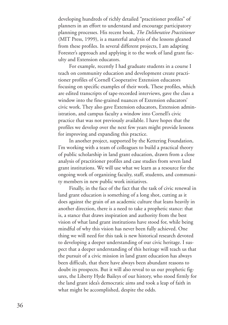developing hundreds of richly detailed "practitioner profiles" of planners in an effort to understand and encourage participatory planning processes. His recent book, *The Deliberative Practitioner* (MIT Press, 1999), is a masterful analysis of the lessons gleaned from these profiles. In several different projects, I am adapting Forester's approach and applying it to the work of land grant faculty and Extension educators.

For example, recently I had graduate students in a course I teach on community education and development create practitioner profiles of Cornell Cooperative Extension educators focusing on specific examples of their work. These profiles, which are edited transcripts of tape-recorded interviews, gave the class a window into the fine-grained nuances of Extension educators' civic work. They also gave Extension educators, Extension administration, and campus faculty a window into Cornell's civic practice that was not previously available. I have hopes that the profiles we develop over the next few years might provide lessons for improving and expanding this practice.

In another project, supported by the Kettering Foundation, I'm working with a team of colleagues to build a practical theory of public scholarship in land grant education, drawn from a close analysis of practitioner profiles and case studies from seven land grant institutions. We will use what we learn as a resource for the ongoing work of organizing faculty, staff, students, and community members in new public work initiatives.

Finally, in the face of the fact that the task of civic renewal in land grant education is something of a long shot, cutting as it does against the grain of an academic culture that leans heavily in another direction, there is a need to take a prophetic stance: that is, a stance that draws inspiration and authority from the best vision of what land grant institutions have stood for, while being mindful of why this vision has never been fully achieved. One thing we will need for this task is new historical research devoted to developing a deeper understanding of our civic heritage. I suspect that a deeper understanding of this heritage will teach us that the pursuit of a civic mission in land grant education has always been difficult, that there have always been abundant reasons to doubt its prospects. But it will also reveal to us our prophetic figures, the Liberty Hyde Baileys of our history, who stood firmly for the land grant idea's democratic aims and took a leap of faith in what might be accomplished, despite the odds.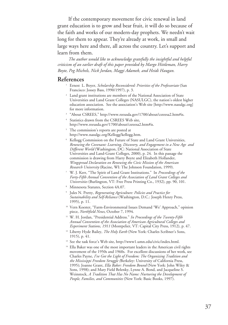If the contemporary movement for civic renewal in land grant education is to grow and bear fruit, it will do so because of the faith and works of our modern-day prophets. We needn't wait long for them to appear. They're already at work, in small and large ways here and there, all across the country. Let's support and learn from them.

*The author would like to acknowledge gratefully the insightful and helpful criticism of an earlier draft of this paper provided by Margo Hittleman, Harry Boyte, Peg Michels, Nick Jordan, Maggi Adamek, and Heidi Haugan.*

#### **References**

- <sup>1</sup> Ernest L. Boyer, *Scholarship Reconsidered: Priorities of the Professoriate* (San Francisco: Jossey Bass, 1990/1997), p. 3.
- <sup>2</sup> Land grant institutions are members of the National Association of State Universities and Land Grant Colleges (NASULGC), the nation's oldest higher education association. See the association's Web site [http://www.nasulgc.org] for more information.
- <sup>3</sup> "About CSREES," http://www.reeusda.gov/1700/about/csreesa2.htm#is.
- <sup>4</sup> Statistics drawn from the CSREES Web site, http://www.reeusda.gov/1700/about/csreesa2.htm#is.
- The commission's reports are posted at http://www.nasulgc.org/Kellogg/kellogg.htm.
- <sup>6</sup> Kellogg Commission on the Future of State and Land Grant Universities, *Renewing the Covenant: Learning, Discovery, and Engagement in a New Age and Different World* (Washington, DC: National Association of State Universities and Land-Grant Colleges, 2000), p. 24. In this passage the commission is drawing from Harry Boyte and Elizabeth Hollander, *Wingspread Declaration on Renewing the Civic Mission of the American Research University* (Racine, WI: The Johnson Foundation, 1999).
- <sup>7</sup> W. J. Kerr, "The Spirit of Land Grant Institutions." In *Proceedings of the Forty-Fifth Annual Convention of the Association of Land Grant Colleges and Universities* (Burlington, VT: Free Press Printing Co., 1932), pp. 90, 101.
- <sup>8</sup> Minnesota Statutes, Section 4A.07.
- <sup>9</sup> Jules N. Pretty, *Regenerating Agriculture: Policies and Practice for Sustainability and Self-Reliance* (Washington, D.C.: Joseph Henry Press, 1995), p. 11.
- <sup>10</sup> Vern Koester, "Farm-Environmental Issues Demand 'We' Approach," opinion piece, *Northfield News*, October 7, 1994.
- <sup>11</sup> W. H. Jordan, "Presidential Address." *In Proceedings of the Twenty-Fifth Annual Convention of the Association of American Agricultural Colleges and Experiment Stations, 1911* (Montpelier, VT: Capital City Press, 1912), p. 47.
- <sup>12</sup> Liberty Hyde Bailey, *The Holy Earth* (New York: Charles Scribner's Sons, 1915), p. 41.
- <sup>13</sup> See the task force's Web site, http://www1.umn.edu/civic/index.html.
- <sup>14</sup> Ella Baker was one of the most important leaders in the American civil rights movement of the 1950s and 1960s. For excellent discussions of her work, see Charles Payne, *I've Got the Light of Freedom: The Organizing Tradition and the Mississippi Freedom Struggle (*Berkeley: University of California Press, 1995); Joanne Grant, *Ella Baker: Freedom Bound* (New York: John Wiley & Sons, 1998); and Mary Field Belenky, Lynne A. Bond, and Jacqueline S. Weinstock, *A Tradition That Has No Name: Nurturing the Development of People, Families, and Communities* (New York: Basic Books, 1997).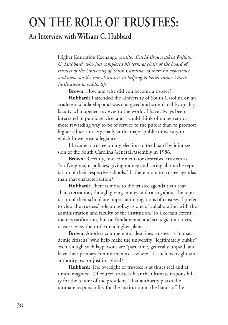# **ON THE ROLE OF TRUSTEES:**

### **An Interview with William C. Hubbard**

Higher Education Exchange *coeditor David Brown asked William C. Hubbard, who just completed his term as chair of the board of trustees of the University of South Carolina, to share his experience and views on the role of trustees in helping to better connect their institutions to public life.*

**Brown:** How and why did you become a trustee?

**Hubbard:** I attended the University of South Carolina on an academic scholarship and was energized and stimulated by quality faculty who opened my eyes to the world. I have always been interested in public service, and I could think of no better nor more rewarding way to be of service to the public than to promote higher education, especially at the major public university to which I owe great allegiance.

I became a trustee on my election to the board by joint session of the South Carolina General Assembly in 1986.

**Brown:** Recently, one commentator described trustees as "ratifying major policies, giving money and caring about the reputation of their respective schools." Is there more to trustee agendas than that characterization?

**Hubbard:** There is more to the trustee agenda than that characterization, though giving money and caring about the reputation of their school are important obligations of trustees. I prefer to view the trustees' role on policy as one of collaboration with the administration and faculty of the institution. To a certain extent, there is ratification, but on fundamental and strategic initiatives, trustees view their role on a higher plane.

**Brown:** Another commentator describes trustees as "nonacademic citizens" who help make the university "legitimately public" even though such laypersons are "part-time, generally unpaid, and have their primary commitments elsewhere." Is such oversight and authority real or just imagined?

**Hubbard:** The oversight of trustees is at times real and at times imagined. Of course, trustees bear the ultimate responsibility for the tenure of the president. That authority places the ultimate responsibility for the institution in the hands of the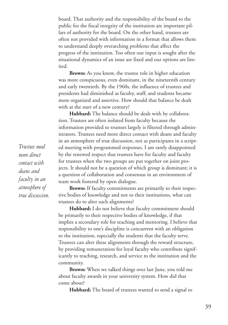board. That authority and the responsibility of the board to the public for the fiscal integrity of the institution are important pillars of authority for the board. On the other hand, trustees are often not provided with information in a format that allows them to understand deeply overarching problems that affect the progress of the institution. Too often our input is sought after the situational dynamics of an issue are fixed and our options are limited.

**Brown:** As you know, the trustee role in higher education was more conspicuous, even dominant, in the nineteenth century and early twentieth. By the 1960s, the influence of trustees and presidents had diminished as faculty, staff, and students became more organized and assertive. How should that balance be dealt with at the start of a new century?

**Hubbard:** The balance should be dealt with by collaboration. Trustees are often isolated from faculty because the information provided to trustees largely is filtered through administrators. Trustees need more direct contact with deans and faculty in an atmosphere of true discussion, not as participants in a scripted meeting with programmed responses. I am rarely disappointed by the renewed respect that trustees have for faculty and faculty for trustees when the two groups are put together on joint projects. It should not be a question of which group is dominant; it is a question of collaboration and consensus in an environment of team work fostered by open dialogue.

**Brown:** If faculty commitments are primarily to their respective bodies of knowledge and not to their institutions, what can trustees do to alter such alignments?

**Hubbard:** I do not believe that faculty commitment should be primarily to their respective bodies of knowledge, if that implies a secondary role for teaching and mentoring. I believe that responsibility to one's discipline is concurrent with an obligation to the institution, especially the students that the faculty serve. Trustees can alter these alignments through the reward structure, by providing remuneration for loyal faculty who contribute significantly to teaching, research, and service to the institution and the community.

**Brown:** When we talked things over last June, you told me about faculty awards in your university system. How did that come about?

**Hubbard:** The board of trustees wanted to send a signal to

*Trustees need more direct contact with deans and faculty in an atmosphere of true discussion.*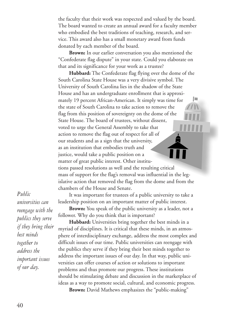the faculty that their work was respected and valued by the board. The board wanted to create an annual award for a faculty member who embodied the best traditions of teaching, research, and service. This award also has a small monetary award from funds donated by each member of the board.

**Brown:** In our earlier conversation you also mentioned the "Confederate flag dispute" in your state. Could you elaborate on that and its significance for your work as a trustee?

**Hubbard:** The Confederate flag flying over the dome of the South Carolina State House was a very divisive symbol. The University of South Carolina lies in the shadow of the State House and has an undergraduate enrollment that is approxi-I. mately 19 percent African-American. It simply was time for the state of South Carolina to take action to remove the flag from this position of sovereignty on the dome of the State House. The board of trustees, without dissent, voted to urge the General Assembly to take that action to remove the flag out of respect for all of our students and as a sign that the university, as an institution that embodies truth and justice, would take a public position on a matter of great public interest. Other institutions passed resolutions as well and the resulting critical mass of support for the flag's removal was influential in the legislative action that removed the flag from the dome and from the chambers of the House and Senate.

It was important for trustees of a public university to take a leadership position on an important matter of public interest.

**Brown:** You speak of the public university as a leader, not a follower. Why do you think that is important?

**Hubbard:** Universities bring together the best minds in a myriad of disciplines. It is critical that these minds, in an atmosphere of interdisciplinary exchange, address the most complex and difficult issues of our time. Public universities can reengage with the publics they serve if they bring their best minds together to address the important issues of our day. In that way, public universities can offer courses of action or solutions to important problems and thus promote our progress. These institutions should be stimulating debate and discussion in the marketplace of ideas as a way to promote social, cultural, and economic progress.

**Brown:** David Mathews emphasizes the "public-making"

*Public universities can reengage with the publics they serve if they bring their best minds together to address the important issues of our day.*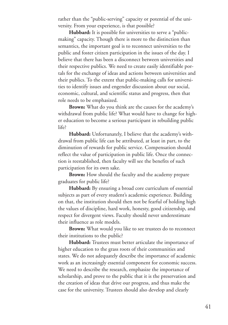rather than the "public-serving" capacity or potential of the university. From your experience, is that possible?

**Hubbard:** It is possible for universities to serve a "publicmaking" capacity. Though there is more to the distinction than semantics, the important goal is to reconnect universities to the public and foster citizen participation in the issues of the day. I believe that there has been a disconnect between universities and their respective publics. We need to create easily identifiable portals for the exchange of ideas and actions between universities and their publics. To the extent that public-making calls for universities to identify issues and engender discussion about our social, economic, cultural, and scientific status and progress, then that role needs to be emphasized.

**Brown:** What do you think are the causes for the academy's withdrawal from public life? What would have to change for higher education to become a serious participant in rebuilding public life?

**Hubbard:** Unfortunately, I believe that the academy's withdrawal from public life can be attributed, at least in part, to the diminution of rewards for public service. Compensation should reflect the value of participation in public life. Once the connection is reestablished, then faculty will see the benefits of such participation for its own sake.

**Brown:** How should the faculty and the academy prepare graduates for public life?

**Hubbard:** By ensuring a broad core curriculum of essential subjects as part of every student's academic experience. Building on that, the institution should then not be fearful of holding high the values of discipline, hard work, honesty, good citizenship, and respect for divergent views. Faculty should never underestimate their influence as role models.

**Brown:** What would you like to see trustees do to reconnect their institutions to the public?

**Hubbard:** Trustees must better articulate the importance of higher education to the grass roots of their communities and states. We do not adequately describe the importance of academic work as an increasingly essential component for economic success. We need to describe the research, emphasize the importance of scholarship, and prove to the public that it is the preservation and the creation of ideas that drive our progress, and thus make the case for the university. Trustees should also develop and clearly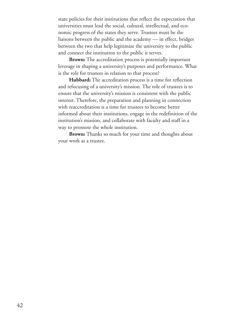state policies for their institutions that reflect the expectation that universities must lead the social, cultural, intellectual, and economic progress of the states they serve. Trustees must be the liaisons between the public and the academy — in effect, bridges between the two that help legitimize the university to the public and connect the institution to the public it serves.

**Brown:** The accreditation process is potentially important leverage in shaping a university's purposes and performance. What is the role for trustees in relation to that process?

**Hubbard:** The accreditation process is a time for reflection and refocusing of a university's mission. The role of trustees is to ensure that the university's mission is consistent with the public interest. Therefore, the preparation and planning in connection with reaccreditation is a time for trustees to become better informed about their institutions, engage in the redefinition of the institution's mission, and collaborate with faculty and staff in a way to promote the whole institution.

**Brown:** Thanks so much for your time and thoughts about your work as a trustee.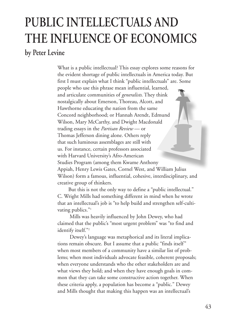# **PUBLIC INTELLECTUALS AND THE INFLUENCE OF ECONOMICS**

### **by Peter Levine**

What is a public intellectual? This essay explores some reasons for the evident shortage of public intellectuals in America today. But first I must explain what I think "public intellectuals" are. Some people who use this phrase mean influential, learned, and articulate communities of *generalists*. They think nostalgically about Emerson, Thoreau, Alcott, and Hawthorne educating the nation from the same Concord neighborhood; or Hannah Arendt, Edmund Wilson, Mary McCarthy, and Dwight Macdonald trading essays in the *Partisan Review* — or Thomas Jefferson dining alone. Others reply that such luminous assemblages are still with us. For instance, certain professors associated with Harvard University's Afro-American Studies Program (among them Kwame Anthony Appiah, Henry Lewis Gates, Cornel West, and William Julius Wilson) form a famous, influential, cohesive, interdisciplinary, and creative group of thinkers.

But this is not the only way to define a "public intellectual." C. Wright Mills had something different in mind when he wrote that an intellectual's job is "to help build and strengthen self-cultivating publics."<sup>1</sup>

Mills was heavily influenced by John Dewey, who had claimed that the public's "most urgent problem" was "to find and identify itself."2

Dewey's language was metaphorical and its literal implications remain obscure. But I assume that a public "finds itself " when most members of a community have a similar list of problems; when most individuals advocate feasible, coherent proposals; when everyone understands who the other stakeholders are and what views they hold; and when they have enough goals in common that they can take some constructive action together. When these criteria apply, a population has become a "public." Dewey and Mills thought that making this happen was an intellectual's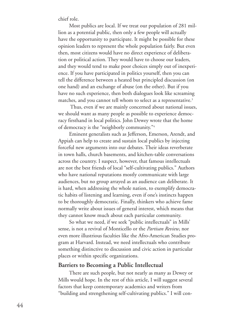chief role.

Most publics are local. If we treat our population of 281 million as a potential public, then only a few people will actually have the opportunity to participate. It might be possible for these opinion leaders to represent the whole population fairly. But even then, most citizens would have no direct experience of deliberation or political action. They would have to choose our leaders, and they would tend to make poor choices simply out of inexperience. If you have participated in politics yourself, then you can tell the difference between a heated but principled discussion (on one hand) and an exchange of abuse (on the other). But if you have no such experience, then both dialogues look like screaming matches, and you cannot tell whom to select as a representative. 3

Thus, even if we are mainly concerned about national issues, we should want as many people as possible to experience democracy firsthand in local politics. John Dewey wrote that the home of democracy is the "neighborly community."4

Eminent generalists such as Jefferson, Emerson, Arendt, and Appiah can help to create and sustain local publics by injecting forceful new arguments into our debates. Their ideas reverberate in town halls, church basements, and kitchen-table conversations across the country. I suspect, however, that famous intellectuals are not the best friends of local "self-cultivating publics." Authors who have national reputations mostly communicate with large audiences, but no group arrayed as an audience can deliberate. It is hard, when addressing the whole nation, to exemplify democratic habits of listening and learning, even if one's instincts happen to be thoroughly democratic. Finally, thinkers who achieve fame normally write about issues of general interest, which means that they cannot know much about each particular community.

So what we need, if we seek "public intellectuals" in Mills' sense, is not a revival of Monticello or the *Partisan Review*, nor even more illustrious faculties like the Afro-American Studies program at Harvard. Instead, we need intellectuals who contribute something distinctive to discussion and civic action in particular places or within specific organizations.

#### **Barriers to Becoming a Public Intellectual**

There are such people, but not nearly as many as Dewey or Mills would hope. In the rest of this article, I will suggest several factors that keep contemporary academics and writers from "building and strengthening self-cultivating publics." I will con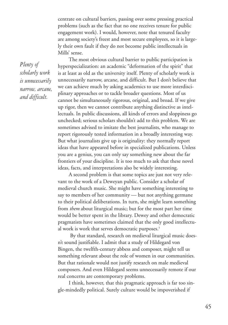centrate on cultural barriers, passing over some pressing practical problems (such as the fact that no one receives tenure for public engagement work). I would, however, note that tenured faculty are among society's freest and most secure employees, so it is largely their own fault if they do not become public intellectuals in Mills' sense.

*Plenty of scholarly work is unnecessarily narrow, arcane, and difficult.*

The most obvious cultural barrier to public participation is hyperspecialization: an academic "deformation of the spirit" that is at least as old as the university itself. Plenty of scholarly work is unnecessarily narrow, arcane, and difficult. But I don't believe that we can achieve much by asking academics to use more interdisciplinary approaches or to tackle broader questions. Most of us cannot be simultaneously rigorous, original, and broad. If we give up rigor, then we cannot contribute anything distinctive as intellectuals. In public discussions, all kinds of errors and sloppiness go unchecked; serious scholars shouldn't add to this problem. We are sometimes advised to imitate the best journalists, who manage to report rigorously tested information in a broadly interesting way. But what journalists give up is originality: they normally report ideas that have appeared before in specialized publications. Unless you are a genius, you can only say something new about the far frontiers of your discipline. It is too much to ask that these novel ideas, facts, and interpretations also be widely interesting.

A second problem is that some topics are just not very relevant to the work of a Deweyan public. Consider a scholar of medieval church music. She might have something interesting to say to members of her community — but not anything germane to their political deliberations. In turn, she might learn something from *them* about liturgical music; but for the most part her time would be better spent in the library. Dewey and other democratic pragmatists have sometimes claimed that the only good intellectual work is work that serves democratic purposes. 5

By that standard, research on medieval liturgical music doesn't sound justifiable. I admit that a study of Hildegard von Bingen, the twelfth-century abbess and composer, might tell us something relevant about the role of women in our communities. But that rationale would not justify research on male medieval composers. And even Hildegard seems unnecessarily remote if our real concerns are contemporary problems.

I think, however, that this pragmatic approach is far too single-mindedly political. Surely culture would be impoverished if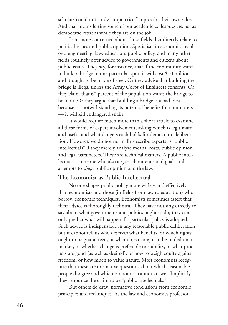scholars could not study "impractical" topics for their own sake. And that means letting some of our academic colleagues *not* act as democratic citizens while they are on the job.

I am more concerned about those fields that directly relate to political issues and public opinion. Specialists in economics, ecology, engineering, law, education, public policy, and many other fields routinely offer advice to governments and citizens about public issues. They say, for instance, that if the community wants to build a bridge in one particular spot, it will cost \$10 million and it ought to be made of steel. Or they advise that building the bridge is illegal unless the Army Corps of Engineers consents. Or they claim that 60 percent of the population wants the bridge to be built. Or they argue that building a bridge is a bad idea because — notwithstanding its potential benefits for commuters — it will kill endangered snails.

It would require much more than a short article to examine all these forms of expert involvement, asking which is legitimate and useful and what dangers each holds for democratic deliberation. However, we do not normally describe experts as "public intellectuals" if they merely analyze means, costs, public opinion, and legal parameters. These are technical matters. A public intellectual is someone who also argues about ends and goals and attempts to *shape* public opinion and the law.

#### **The Economist as Public Intellectual**

No one shapes public policy more widely and effectively than economists and those (in fields from law to education) who borrow economic techniques. Economists sometimes assert that their advice is thoroughly technical. They have nothing directly to say about what governments and publics ought to do; they can only predict what will happen if a particular policy is adopted. Such advice is indispensable in any reasonable public deliberation, but it cannot tell us who deserves what benefits, or which rights ought to be guaranteed, or what objects ought to be traded on a market, or whether change is preferable to stability, or what products are good (as well as desired), or how to weigh equity against freedom, or how much to value nature. Most economists recognize that these are normative questions about which reasonable people disagree and which economics cannot answer. Implicitly, they renounce the claim to be "public intellectuals."

But others do draw normative conclusions from economic principles and techniques. As the law and economics professor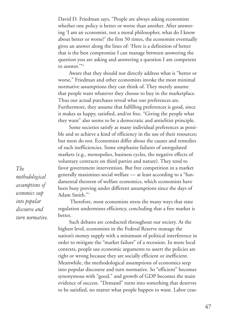David D. Friedman says, "People are always asking economists whether one policy is better or worse than another. After answering 'I am an economist, not a moral philosopher, what do I know about better or worse?' the first 50 times, the economist eventually gives an answer along the lines of: 'Here is a definition of better that is the best compromise I can manage between answering the question you are asking and answering a question I am competent to answer.'"6

Aware that they should not directly address what is "better or worse," Friedman and other economists invoke the most minimal normative assumptions they can think of. They merely assume that people want whatever they choose to buy in the marketplace. Thus our actual purchases reveal what our preferences are. Furthermore, they assume that fulfilling preferences is good, since it makes us happy, satisfied, and/or free. "Giving the people what they want" also seems to be a democratic and antielitist principle.

Some societies satisfy as many individual preferences as possible and so achieve a kind of efficiency in the use of their resources; but most do not. Economists differ about the causes and remedies of such inefficiencies. Some emphasize failures of unregulated markets (e.g., monopolies, business cycles, the negative effects of voluntary contracts on third parties and nature). They tend to favor government intervention. But free competition in a market generally maximizes social welfare — at least according to a "fundamental theorem of welfare economics, which economists have been busy proving under different assumptions since the days of Adam Smith."7

Therefore, most economists stress the many ways that state regulation undermines efficiency, concluding that a free market is better.

Such debates are conducted throughout our society. At the highest level, economists in the Federal Reserve manage the nation's money supply with a minimum of political interference in order to mitigate the "market failure" of a recession. In more local contexts, people use economic arguments to assert the policies are right or wrong because they are socially efficient or inefficient. Meanwhile, the methodological assumptions of economics seep into popular discourse and turn normative. So "efficient" becomes synonymous with "good," and growth of GDP becomes the main evidence of success. "Demand" turns into something that deserves to be satisfied, no matter what people happen to want. Labor ceas-

*The methodological assumptions of economics seep into popular discourse and turn normative.*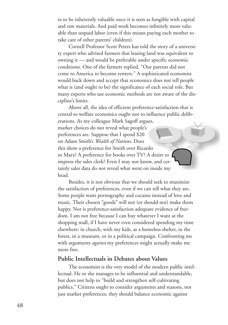es to be inherently valuable once it is seen as fungible with capital and raw materials. And paid work becomes infinitely more valuable than unpaid labor (even if this means paying each mother to take care of other parents' children).

Cornell Professor Scott Peters has told the story of a university expert who advised farmers that leasing land was equivalent to owning it — and would be preferable under specific economic conditions. One of the farmers replied, "Our parents did not come to America to become renters." A sophisticated economist would back down and accept that economics does not tell people what is (and ought to be) the significance of each social role. But many experts who use economic methods are not aware of the discipline's limits.

Above all, the idea of efficient preference-satisfaction that is central to welfare economics ought not to influence public deliberations. As my colleague Mark Sagoff argues, market choices do not reveal what people's preferences are. Suppose that I spend \$20 on Adam Smith's *Wealth of Nations*. Does this show a preference for Smith over Ricardo or Marx? A preference for books over TV? A desire to impress the sales clerk? Even I may not know, and certainly sales data do not reveal what went on inside my head.

Besides, it is not obvious that we should seek to maximize the satisfaction of preferences, even if we can tell what they are. Some people want pornography and cocaine instead of love and music. Their chosen "goods" will not (or should not) make them happy. Nor is preference-satisfaction adequate evidence of freedom. I am not free because I can buy whatever I want at the shopping mall, if I have never even considered spending my time elsewhere: in church, with my kids, at a homeless shelter, in the forest, in a museum, or in a political campaign. Confronting me with arguments *against* my preferences might actually make me more free.

#### **Public Intellectuals in Debates about Values**

The economist is the very model of the modern public intellectual. He or she manages to be influential and understandable, but does not help to "build and strengthen self-cultivating publics." Citizens ought to consider arguments and reasons, not just market preferences; they should balance economic against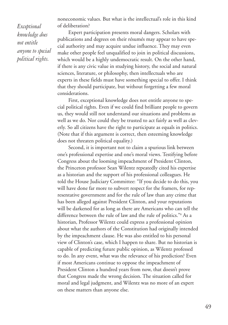*Exceptional knowledge does not entitle anyone to special political rights.*

noneconomic values. But what is the intellectual's role in this kind of deliberation?

Expert participation presents moral dangers. Scholars with publications and degrees on their résumés may appear to have special authority and may acquire undue influence. They may even make other people feel unqualified to join in political discussions, which would be a highly undemocratic result. On the other hand, if there is any civic value in studying history, the social and natural sciences, literature, or philosophy, then intellectuals who are experts in these fields must have something special to offer. I think that they should participate, but without forgetting a few moral considerations.

First, exceptional knowledge does not entitle anyone to special political rights. Even if we could find brilliant people to govern us, they would still not understand our situations and problems as well as we do. Nor could they be trusted to act fairly as well as cleverly. So all citizens have the right to participate as equals in politics. (Note that if this argument is correct, then esteeming knowledge does not threaten political equality.)

Second, it is important not to claim a spurious link between one's professional expertise and one's moral views. Testifying before Congress about the looming impeachment of President Clinton, the Princeton professor Sean Wilentz repeatedly cited his expertise as a historian and the support of his professional colleagues. He told the House Judiciary Committee: "If you decide to do this, you will have done far more to subvert respect for the framers, for representative government and for the rule of law than any crime that has been alleged against President Clinton, and your reputations will be darkened for as long as there are Americans who can tell the difference between the rule of law and the rule of politics."<sup>8</sup> As a historian, Professor Wilentz could express a professional opinion about what the authors of the Constitution had originally intended by the impeachment clause. He was also entitled to his personal view of Clinton's case, which I happen to share. But no historian is capable of predicting future public opinion, as Wilentz professed to do. In any event, what was the relevance of his prediction? Even if most Americans continue to oppose the impeachment of President Clinton a hundred years from now, that doesn't prove that Congress made the wrong decision. The situation called for moral and legal judgment, and Wilentz was no more of an expert on these matters than anyone else.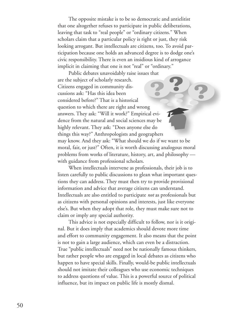The opposite mistake is to be so democratic and antielitist that one altogether refuses to participate in public deliberations, leaving that task to "real people" or "ordinary citizens." When scholars claim that a particular policy is right or just, they risk looking arrogant. But intellectuals are citizens, too. To avoid participation because one holds an advanced degree is to dodge one's civic responsibility. There is even an insidious kind of arrogance implicit in claiming that one is not "real" or "ordinary."

Public debates unavoidably raise issues that are the subject of scholarly research. Citizens engaged in community discussions ask: "Has this idea been considered before?" That is a historical question to which there are right and wrong answers. They ask: "Will it work?" Empirical evidence from the natural and social sciences may be highly relevant. They ask: "Does anyone else do things this way?" Anthropologists and geographers may know. And they ask: "What should we do if we want to be moral, fair, or just?" Often, it is worth discussing analogous moral problems from works of literature, history, art, and philosophy with guidance from professional scholars.

When intellectuals intervene as professionals, their job is to listen carefully to public discussions to glean what important questions they can address. They must then try to provide provisional information and advice that average citizens can understand. Intellectuals are also entitled to participate *not* as professionals but as citizens with personal opinions and interests, just like everyone else's. But when they adopt that role, they must make sure not to claim or imply any special authority.

This advice is not especially difficult to follow, nor is it original. But it does imply that academics should devote more time and effort to community engagement. It also means that the point is not to gain a large audience, which can even be a distraction. True "public intellectuals" need not be nationally famous thinkers, but rather people who are engaged in local debates as citizens who happen to have special skills. Finally, would-be public intellectuals should not imitate their colleagues who use economic techniques to address questions of value. This is a powerful source of political influence, but its impact on public life is mostly dismal.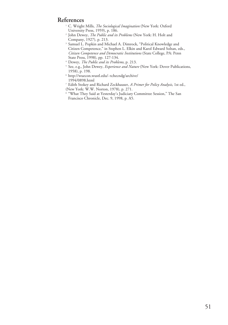#### **References**

- <sup>1</sup> C. Wright Mills, *The Sociological Imagination* (New York: Oxford University Press, 1959), p. 186.
- <sup>2</sup> John Dewey, *The Public and its Problems* (New York: H. Holt and Company, 1927), p. 213.
- <sup>3</sup> Samuel L. Popkin and Michael A. Dimrock, "Political Knowledge and Citizen Competence," in Stephen L. Elkin and Karol Edward Soltan, eds., *Citizen Competence and Democratic Institutions* (State College, PA: Penn State Press, 1998), pp. 127-134.
- <sup>4</sup> Dewey, *The Public and its Problems*, p. 213.
- <sup>5</sup> See, e.g., John Dewey, *Experience and Nature* (New York: Dover Publications, 1958), p. 198.
- <sup>6</sup> http://wuecon.wustl.edu/~tchecndg/archive/ 1994/0898.html
- <sup>7</sup> Edith Stokey and Richard Zeckhauser, *A Primer for Policy Analysis*, 1st ed., (New York: W.W. Norton, 1978), p. 271.
- <sup>8</sup> "What They Said at Yesterday's Judiciary Committee Session," The San Francisco Chronicle, Dec. 9, 1998, p. A5.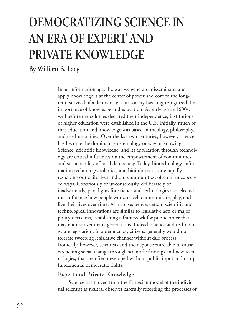# **DEMOCRATIZING SCIENCE IN AN ERA OF EXPERT AND PRIVATE KNOWLEDGE**

**By William B. Lacy**

In an information age, the way we generate, disseminate, and apply knowledge is at the center of power and core to the longterm survival of a democracy. Our society has long recognized the importance of knowledge and education. As early as the 1600s, well before the colonies declared their independence, institutions of higher education were established in the U.S. Initially, much of that education and knowledge was based in theology, philosophy, and the humanities. Over the last two centuries, however, science has become the dominant epistemology or way of knowing. Science, scientific knowledge, and its application through technology are critical influences on the empowerment of communities and sustainability of local democracy. Today, biotechnology, information technology, robotics, and bioinformatics are rapidly reshaping our daily lives and our communities, often in unexpected ways. Consciously or unconsciously, deliberately or inadvertently, paradigms for science and technologies are selected that influence how people work, travel, communicate, play, and live their lives over time. As a consequence, certain scientific and technological innovations are similar to legislative acts or major policy decisions, establishing a framework for public order that may endure over many generations. Indeed, science and technology are legislation. In a democracy, citizens generally would not tolerate sweeping legislative changes without due process. Ironically, however, scientists and their sponsors are able to cause wrenching social change through scientific findings and new technologies, that are often developed without public input and usurp fundamental democratic rights.

#### **Expert and Private Knowledge**

Science has moved from the Cartesian model of the individual scientist as neutral observer carefully recording the processes of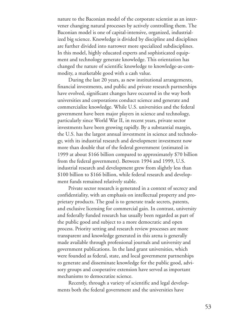nature to the Baconian model of the corporate scientist as an intervener changing natural processes by actively controlling them. The Baconian model is one of capital-intensive, organized, industrialized big science. Knowledge is divided by discipline and disciplines are further divided into narrower more specialized subdisciplines. In this model, highly educated experts and sophisticated equipment and technology generate knowledge. This orientation has changed the nature of scientific knowledge to knowledge-as-commodity, a marketable good with a cash value.

During the last 20 years, as new institutional arrangements, financial investments, and public and private research partnerships have evolved, significant changes have occurred in the way both universities and corporations conduct science and generate and commercialize knowledge. While U.S. universities and the federal government have been major players in science and technology, particularly since World War II, in recent years, private sector investments have been growing rapidly. By a substantial margin, the U.S. has the largest annual investment in science and technology, with its industrial research and development investment now more than double that of the federal government (estimated in 1999 at about \$166 billion compared to approximately \$70 billion from the federal government). Between 1994 and 1999, U.S. industrial research and development grew from slightly less than \$100 billion to \$166 billion, while federal research and development funds remained relatively stable.

Private sector research is generated in a context of secrecy and confidentiality, with an emphasis on intellectual property and proprietary products. The goal is to generate trade secrets, patents, and exclusive licensing for commercial gain. In contrast, university and federally funded research has usually been regarded as part of the public good and subject to a more democratic and open process. Priority setting and research review processes are more transparent and knowledge generated in this arena is generally made available through professional journals and university and government publications. In the land grant universities, which were founded as federal, state, and local government partnerships to generate and disseminate knowledge for the public good, advisory groups and cooperative extension have served as important mechanisms to democratize science.

Recently, through a variety of scientific and legal developments both the federal government and the universities have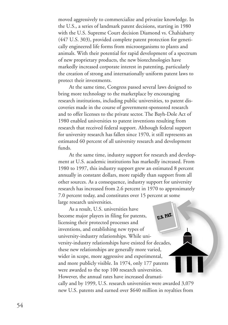moved aggressively to commercialize and privatize knowledge. In the U.S., a series of landmark patent decisions, starting in 1980 with the U.S. Supreme Court decision Diamond vs. Chahiabarty (447 U.S. 303), provided complete patent protection for genetically engineered life forms from microorganisms to plants and animals. With their potential for rapid development of a spectrum of new proprietary products, the new biotechnologies have markedly increased corporate interest in patenting, particularly the creation of strong and internationally uniform patent laws to protect their investments.

At the same time, Congress passed several laws designed to bring more technology to the marketplace by encouraging research institutions, including public universities, to patent discoveries made in the course of government-sponsored research and to offer licenses to the private sector. The Bayh-Dole Act of 1980 enabled universities to patent inventions resulting from research that received federal support. Although federal support for university research has fallen since 1970, it still represents an estimated 60 percent of all university research and development funds.

At the same time, industry support for research and development at U.S. academic institutions has markedly increased. From 1980 to 1997, this industry support grew an estimated 8 percent annually in constant dollars, more rapidly than support from all other sources. As a consequence, industry support for university research has increased from 2.6 percent in 1970 to approximately 7.0 percent today, and constitutes over 15 percent at some large research universities.

As a result, U.S. universities have U.S. PAT become major players in filing for patents, licensing their protected processes and inventions, and establishing new types of university-industry relationships. While university-industry relationships have existed for decades, these new relationships are generally more varied, wider in scope, more aggressive and experimental, and more publicly visible. In 1974, only 177 patents were awarded to the top 100 research universities. However, the annual rates have increased dramatically and by 1999, U.S. research universities were awarded 3,079 new U.S. patents and earned over \$640 million in royalties from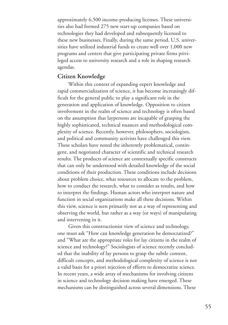approximately 6,500 income-producing licenses. These universities also had formed 275 new start-up companies based on technologies they had developed and subsequently licensed to these new businesses. Finally, during the same period, U.S. universities have utilized industrial funds to create well over 1,000 new programs and centers that give participating private firms privileged access to university research and a role in shaping research agendas.

#### **Citizen Knowledge**

Within this context of expanding expert knowledge and rapid commercialization of science, it has become increasingly difficult for the general public to play a significant role in the generation and application of knowledge. Opposition to citizen involvement in the realm of science and technology is often based on the assumption that laypersons are incapable of grasping the highly sophisticated, technical nuances and methodological complexity of science. Recently, however, philosophers, sociologists, and political and community activists have challenged this view. These scholars have noted the inherently problematical, contingent, and negotiated character of scientific and technical research results. The products of science are contextually specific constructs that can only be understood with detailed knowledge of the social conditions of their production. These conditions include decisions about problem choice, what resources to allocate to the problem, how to conduct the research, what to consider as results, and how to interpret the findings. Human actors who interpret nature and function in social organizations make all these decisions. Within this view, science is seen primarily not as a way of representing and observing the world, but rather as a way (or ways) of manipulating and intervening in it.

Given this constructionist view of science and technology, one must ask "How can knowledge generation be democratized?" and "What are the appropriate roles for lay citizens in the realm of science and technology?" Sociologists of science recently concluded that the inability of lay persons to grasp the subtle content, difficult concepts, and methodological complexity of science is not a valid basis for a priori rejection of efforts to democratize science. In recent years, a wide array of mechanisms for involving citizens in science and technology decision making have emerged. These mechanisms can be distinguished across several dimensions. These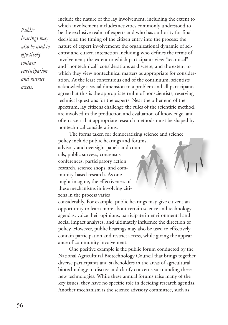*Public hearings may also be used to effectively contain participation and restrict access.*

include the nature of the lay involvement, including the extent to which involvement includes activities commonly understood to be the exclusive realm of experts and who has authority for final decisions; the timing of the citizen entry into the process; the nature of expert involvement; the organizational dynamic of scientist and citizen interaction including who defines the terms of involvement; the extent to which participants view "technical" and "nontechnical" considerations as discrete; and the extent to which they view nontechnical matters as appropriate for consideration. At the least contentious end of the continuum, scientists acknowledge a social dimension to a problem and all participants agree that this is the appropriate realm of nonscientists, reserving technical questions for the experts. Near the other end of the spectrum, lay citizens challenge the rules of the scientific method, are involved in the production and evaluation of knowledge, and often assert that appropriate research methods must be shaped by nontechnical considerations.

The forms taken for democratizing science and science policy include public hearings and forums, advisory and oversight panels and councils, public surveys, consensus conferences, participatory action research, science shops, and community-based research. As one might imagine, the effectiveness of these mechanisms in involving citizens in the process varies

considerably. For example, public hearings may give citizens an opportunity to learn more about certain science and technology agendas, voice their opinions, participate in environmental and social impact analyses, and ultimately influence the direction of policy. However, public hearings may also be used to effectively contain participation and restrict access, while giving the appearance of community involvement.

One positive example is the public forum conducted by the National Agricultural Biotechnology Council that brings together diverse participants and stakeholders in the areas of agricultural biotechnology to discuss and clarify concerns surrounding these new technologies. While these annual forums raise many of the key issues, they have no specific role in deciding research agendas. Another mechanism is the science advisory committee, such as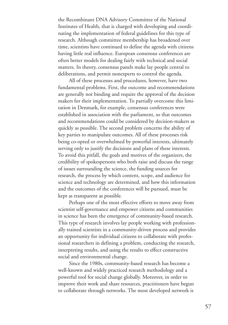the Recombinant DNA Advisory Committee of the National Institutes of Health, that is charged with developing and coordinating the implementation of federal guidelines for this type of research. Although committee membership has broadened over time, scientists have continued to define the agenda with citizens having little real influence. European consensus conferences are often better models for dealing fairly with technical and social matters. In theory, consensus panels make lay people central to deliberations, and permit nonexperts to control the agenda.

All of these processes and procedures, however, have two fundamental problems. First, the outcome and recommendations are generally not binding and require the approval of the decision makers for their implementation. To partially overcome this limitation in Denmark, for example, consensus conferences were established in association with the parliament, so that outcomes and recommendations could be considered by decision-makers as quickly as possible. The second problem concerns the ability of key parties to manipulate outcomes. All of these processes risk being co-opted or overwhelmed by powerful interests, ultimately serving only to justify the decisions and plans of these interests. To avoid this pitfall, the goals and motives of the organizers, the credibility of spokespersons who both raise and discuss the range of issues surrounding the science, the funding sources for research, the process by which content, scope, and audience for science and technology are determined, and how this information and the outcomes of the conferences will be pursued, must be kept as transparent as possible.

Perhaps one of the most effective efforts to move away from scientist self-governance and empower citizens and communities in science has been the emergence of community-based research. This type of research involves lay people working with professionally trained scientists in a community-driven process and provides an opportunity for individual citizens to collaborate with professional researchers in defining a problem, conducting the research, interpreting results, and using the results to effect constructive social and environmental change.

Since the 1980s, community-based research has become a well-known and widely practiced research methodology and a powerful tool for social change globally. Moreover, in order to improve their work and share resources, practitioners have begun to collaborate through networks. The most developed network is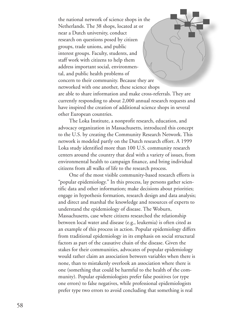the national network of science shops in the Netherlands. The 38 shops, located at or near a Dutch university, conduct research on questions posed by citizen groups, trade unions, and public interest groups. Faculty, students, and staff work with citizens to help them address important social, environmental, and public health problems of concern to their community. Because they are networked with one another, these science shops are able to share information and make cross-referrals. They are currently responding to about 2,000 annual research requests and have inspired the creation of additional science shops in several other European countries.

The Loka Institute, a nonprofit research, education, and advocacy organization in Massachusetts, introduced this concept to the U.S. by creating the Community Research Network. This network is modeled partly on the Dutch research effort. A 1999 Loka study identified more than 100 U.S. community research centers around the country that deal with a variety of issues, from environmental health to campaign finance, and bring individual citizens from all walks of life to the research process.

One of the most visible community-based research efforts is "popular epidemiology." In this process, lay persons gather scientific data and other information; make decisions about priorities; engage in hypothesis formation, research design and data analysis; and direct and marshal the knowledge and resources of experts to understand the epidemiology of disease. The Woburn, Massachusetts, case where citizens researched the relationship between local water and disease (e.g., leukemia) is often cited as an example of this process in action. Popular epidemiology differs from traditional epidemiology in its emphasis on social structural factors as part of the causative chain of the disease. Given the stakes for their communities, advocates of popular epidemiology would rather claim an association between variables when there is none, than to mistakenly overlook an association where there is one (something that could be harmful to the health of the community). Popular epidemiologists prefer false positives (or type one errors) to false negatives, while professional epidemiologists prefer type two errors to avoid concluding that something is real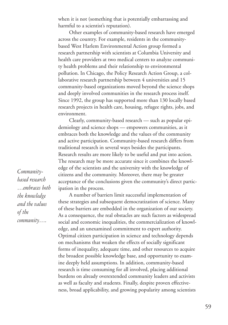when it is not (something that is potentially embarrassing and harmful to a scientist's reputation).

Other examples of community-based research have emerged across the country. For example, residents in the communitybased West Harlem Environmental Action group formed a research partnership with scientists at Columbia University and health care providers at two medical centers to analyze community health problems and their relationship to environmental pollution. In Chicago, the Policy Research Action Group, a collaborative research partnership between 4 universities and 15 community-based organizations moved beyond the science shops and deeply involved communities in the research process itself. Since 1992, the group has supported more than 130 locally based research projects in health care, housing, refugee rights, jobs, and environment.

Clearly, community-based research — such as popular epidemiology and science shops — empowers communities, as it embraces both the knowledge and the values of the community and active participation. Community-based research differs from traditional research in several ways besides the participants. Research results are more likely to be useful and put into action. The research may be more accurate since it combines the knowledge of the scientists and the university with the knowledge of citizens and the community. Moreover, there may be greater acceptance of the conclusions given the community's direct participation in the process.

A number of barriers limit successful implementation of these strategies and subsequent democratization of science. Many of these barriers are embedded in the organization of our society. As a consequence, the real obstacles are such factors as widespread social and economic inequalities, the commercialization of knowledge, and an unexamined commitment to expert authority. Optimal citizen participation in science and technology depends on mechanisms that weaken the effects of socially significant forms of inequality, adequate time, and other resources to acquire the broadest possible knowledge base, and opportunity to examine deeply held assumptions. In addition, community-based research is time consuming for all involved, placing additional burdens on already overextended community leaders and activists as well as faculty and students. Finally, despite proven effectiveness, broad applicability, and growing popularity among scientists

*Communitybased research …embraces both the knowledge and the values of the community….*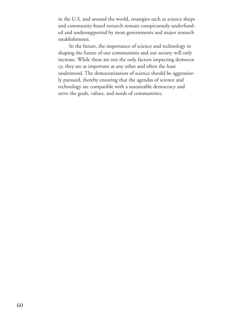in the U.S. and around the world, strategies such as science shops and community-based research remain conspicuously underfunded and undersupported by most governments and major research establishments.

In the future, the importance of science and technology in shaping the future of our communities and our society will only increase. While these are not the only factors impacting democracy, they are as important as any other and often the least understood. The democratization of science should be aggressively pursued, thereby ensuring that the agendas of science and technology are compatible with a sustainable democracy and serve the goals, values, and needs of communities.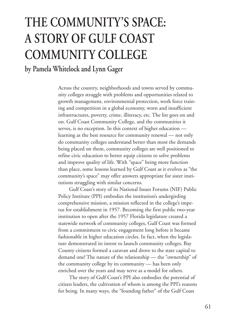# **THE COMMUNITY'S SPACE: A STORY OF GULF COAST COMMUNITY COLLEGE**

### **by Pamela Whitelock and Lynn Gager**

Across the country, neighborhoods and towns served by community colleges struggle with problems and opportunities related to growth management, environmental protection, work force training and competition in a global economy, worn and insufficient infrastructures, poverty, crime, illiteracy, etc. The list goes on and on. Gulf Coast Community College, and the communities it serves, is no exception. In this context of higher education learning as the best resource for community renewal — not only do community colleges understand better than most the demands being placed on them, community colleges are well positioned to refine civic education to better equip citizens to solve problems and improve quality of life. With "space" being more function than place, some lessons learned by Gulf Coast as it evolves as "the community's space" may offer answers appropriate for sister institutions struggling with similar concerns.

Gulf Coast's story of its National Issues Forums (NIF) Public Policy Institute (PPI) embodies the institution's undergirding comprehensive mission, a mission reflected in the college's impetus for establishment in 1957. Becoming the first public two-year institution to open after the 1957 Florida legislature created a statewide network of community colleges, Gulf Coast was formed from a commitment to civic engagement long before it became fashionable in higher education circles. In fact, when the legislature demonstrated its intent to launch community colleges, Bay County citizens formed a caravan and drove to the state capital to demand one! The nature of the relationship — the "ownership" of the community college by its community — has been only enriched over the years and may serve as a model for others.

The story of Gulf Coast's PPI also embodies the potential of citizen leaders, the cultivation of whom is among the PPI's reasons for being. In many ways, the "founding father" of the Gulf Coast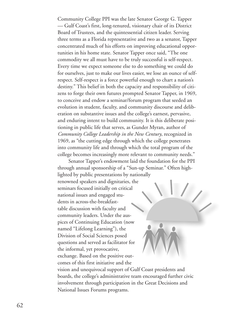Community College PPI was the late Senator George G. Tapper — Gulf Coast's first, long-tenured, visionary chair of its District Board of Trustees, and the quintessential citizen leader. Serving three terms as a Florida representative and two as a senator, Tapper concentrated much of his efforts on improving educational opportunities in his home state. Senator Tapper once said, "The one commodity we all must have to be truly successful is self-respect. Every time we expect someone else to do something we could do for ourselves, just to make our lives easier, we lose an ounce of selfrespect. Self-respect is a force powerful enough to chart a nation's destiny." This belief in both the capacity and responsibility of citizens to forge their own futures prompted Senator Tapper, in 1969, to conceive and endow a seminar/forum program that seeded an evolution in student, faculty, and community discourse and deliberation on substantive issues and the college's earnest, pervasive, and enduring intent to build community. It is this deliberate positioning in public life that serves, as Gunder Myran, author of *Community College Leadership in the New Century*, recognized in 1969, as "the cutting edge through which the college penetrates into community life and through which the total program of the college becomes increasingly more relevant to community needs."

Senator Tapper's endowment laid the foundation for the PPI through annual sponsorship of a "Sun-up Seminar." Often highlighted by public presentations by nationally renowned speakers and dignitaries, the seminars focused initially on critical national issues and engaged students in across-the-breakfasttable discussion with faculty and community leaders. Under the auspices of Continuing Education (now named "Lifelong Learning"), the Division of Social Sciences posed questions and served as facilitator for the informal, yet provocative, exchange. Based on the positive outcomes of this first initiative and the vision and unequivocal support of Gulf Coast presidents and boards, the college's administrative team encouraged further civic involvement through participation in the Great Decisions and

National Issues Forums programs.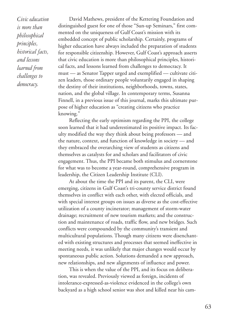*Civic education is more than philosophical principles, historical facts, and lessons learned from challenges to democracy.*

David Mathews, president of the Kettering Foundation and distinguished guest for one of those "Sun-up Seminars," first commented on the uniqueness of Gulf Coast's mission with its embedded concept of public scholarship. Certainly, programs of higher education have always included the preparation of students for responsible citizenship. However, Gulf Coast's approach asserts that civic education is more than philosophical principles, historical facts, and lessons learned from challenges to democracy. It must — as Senator Tapper urged and exemplified — cultivate citizen leaders, those ordinary people voluntarily engaged in shaping the destiny of their institutions, neighborhoods, towns, states, nation, and the global village. In contemporary terms, Susanna Finnell, in a previous issue of this journal, marks this ultimate purpose of higher education as "creating citizens who practice knowing."

Reflecting the early optimism regarding the PPI, the college soon learned that it had underestimated its positive impact. Its faculty modified the way they think about being professors — and the nature, context, and function of knowledge in society — and they embraced the overarching view of students as citizens and themselves as catalysts for and scholars and facilitators of civic engagement. Thus, the PPI became both stimulus and cornerstone for what was to become a year-round, comprehensive program in leadership, the Citizen Leadership Institute (CLI).

At about the time the PPI and its parent, the CLI, were emerging, citizens in Gulf Coast's tri-county service district found themselves in conflict with each other, with elected officials, and with special interest groups on issues as diverse as the cost-effective utilization of a county incinerator; management of storm-water drainage; recruitment of new tourism markets; and the construction and maintenance of roads, traffic flow, and new bridges. Such conflicts were compounded by the community's transient and multicultural populations. Though many citizens were disenchanted with existing structures and processes that seemed ineffective in meeting needs, it was unlikely that major changes would occur by spontaneous public action. Solutions demanded a new approach, new relationships, and new alignments of influence and power.

This is when the value of the PPI, and its focus on deliberation, was revealed. Previously viewed as foreign, incidents of intolerance-expressed-as-violence evidenced in the college's own backyard as a high school senior was shot and killed near his cam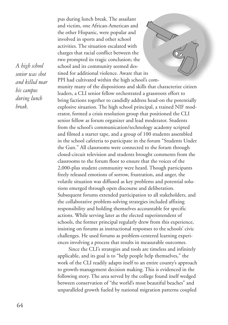*A high school senior was shot and killed near his campus during lunch break.*

pus during lunch break. The assailant and victim, one African-American and the other Hispanic, were popular and involved in sports and other school activities. The situation escalated with charges that racial conflict between the two prompted its tragic conclusion; the school and its community seemed destined for additional violence. Aware that its PPI had cultivated within the high school's community many of the dispositions and skills that characterize citizen leaders, a CLI senior fellow orchestrated a grassroots effort to bring factions together to candidly address head-on the potentially explosive situation. The high school principal, a trained NIF moderator, formed a crisis resolution group that positioned the CLI senior fellow as forum organizer and lead moderator. Students from the school's communication/technology academy scripted and filmed a starter tape, and a group of 100 students assembled in the school cafeteria to participate in the forum "Students Under the Gun." All classrooms were connected to the forum through closed-circuit television and students brought comments from the classrooms to the forum floor to ensure that the voices of the 2,000-plus student community were heard. Though participants freely released emotions of sorrow, frustration, and anger, the volatile situation was diffused as key problems and potential solutions emerged through open discourse and deliberation. Subsequent forums extended participation to all stakeholders, and the collaborative problem-solving strategies included affixing responsibility and holding themselves accountable for specific actions. While serving later as the elected superintendent of schools, the former principal regularly drew from this experience, insisting on forums as instructional responses to the schools' civic challenges. He used forums as problem-centered learning experiences involving a process that results in measurable outcomes.

Since the CLI's strategies and tools are timeless and infinitely applicable, and its goal is to "help people help themselves," the work of the CLI readily adapts itself to an entire county's approach to growth-management decision making. This is evidenced in the following story. The area served by the college found itself wedged between conservation of "the world's most beautiful beaches" and unparalleled growth fueled by national migration patterns coupled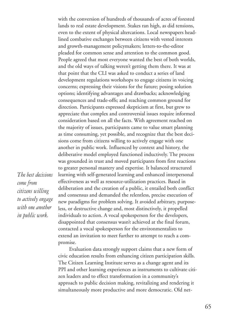*The best decisions come from citizens willing to actively engage with one another in public work.*

with the conversion of hundreds of thousands of acres of forested lands to real estate development. Stakes ran high, as did tensions, even to the extent of physical altercations. Local newspapers headlined combative exchanges between citizens with vested interests and growth-management policymakers; letters-to-the-editor pleaded for common sense and attention to the common good. People agreed that most everyone wanted the best of both worlds, and the old ways of talking weren't getting them there. It was at that point that the CLI was asked to conduct a series of land development regulations workshops to engage citizens in voicing concerns; expressing their visions for the future; posing solution options; identifying advantages and drawbacks; acknowledging consequences and trade-offs; and reaching common ground for direction. Participants expressed skepticism at first, but grew to appreciate that complex and controversial issues require informed consideration based on all the facts. With agreement reached on the majority of issues, participants came to value smart planning as time consuming, yet possible, and recognize that the best decisions come from citizens willing to actively engage with one another in public work. Influenced by context and history, the deliberative model employed functioned inductively. The process was grounded in trust and moved participants from first reactions to greater personal mastery and expertise. It balanced structured learning with self-generated learning and enhanced interpersonal effectiveness as well as resource-utilization practices. Based in deliberation and the creation of a public, it entailed both conflict and consensus and demanded the relentless, precise execution of new paradigms for problem solving. It avoided arbitrary, purposeless, or destructive change and, most distinctively, it propelled individuals to action. A vocal spokesperson for the developers, disappointed that consensus wasn't achieved at the final forum, contacted a vocal spokesperson for the environmentalists to extend an invitation to meet further to attempt to reach a compromise.

Evaluation data strongly support claims that a new form of civic education results from enhancing citizen participation skills. The Citizen Learning Institute serves as a change agent and its PPI and other learning experiences as instruments to cultivate citizen leaders and to effect transformation in a community's approach to public decision making, revitalizing and rendering it simultaneously more productive and more democratic. Old net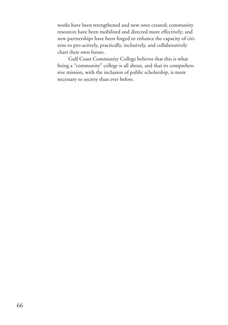works have been strengthened and new ones created; community resources have been mobilized and directed more effectively; and new partnerships have been forged to enhance the capacity of citizens to pro-actively, practically, inclusively, and collaboratively chart their own future.

Gulf Coast Community College believes that this is what being a "community" college is all about, and that its comprehensive mission, with the inclusion of public scholarship, is more necessary to society than ever before.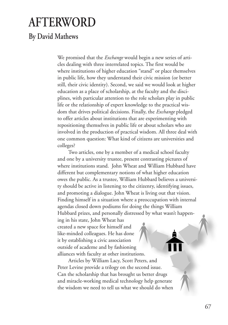## **AFTERWORD**

### **By David Mathews**

We promised that the *Exchange* would begin a new series of articles dealing with three interrelated topics. The first would be where institutions of higher education "stand" or place themselves in public life, how they understand their civic mission (or better still, their civic identity). Second, we said we would look at higher education as a place of scholarship, at the faculty and the disciplines, with particular attention to the role scholars play in public life or the relationship of expert knowledge to the practical wisdom that drives political decisions. Finally, the *Exchange* pledged to offer articles about institutions that are experimenting with repositioning themselves in public life or about scholars who are involved in the production of practical wisdom. All three deal with one common question: What kind of citizens are universities and colleges?

Two articles, one by a member of a medical school faculty and one by a university trustee, present contrasting pictures of where institutions stand. John Wheat and William Hubbard have different but complementary notions of what higher education owes the public. As a trustee, William Hubbard believes a university should be active in listening to the citizenry, identifying issues, and promoting a dialogue. John Wheat is living out that vision. Finding himself in a situation where a preoccupation with internal agendas closed down podiums for doing the things William Hubbard prizes, and personally distressed by what wasn't happening in his state, John Wheat has

created a new space for himself and like-minded colleagues. He has done it by establishing a civic association outside of academe and by fashioning alliances with faculty at other institutions.

Articles by William Lacy, Scott Peters, and Peter Levine provide a trilogy on the second issue. Can the scholarship that has brought us better drugs and miracle-working medical technology help generate the wisdom we need to tell us what we should do when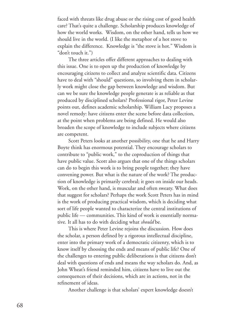faced with threats like drug abuse or the rising cost of good health care? That's quite a challenge. Scholarship produces knowledge of how the world works. Wisdom, on the other hand, tells us how we should live in the world. (I like the metaphor of a hot stove to explain the difference. Knowledge is "the stove is hot." Wisdom is "don't touch it.")

The three articles offer different approaches to dealing with this issue. One is to open up the production of knowledge by encouraging citizens to collect and analyze scientific data. Citizens have to deal with "should" questions, so involving them in scholarly work might close the gap between knowledge and wisdom. But can we be sure the knowledge people generate is as reliable as that produced by disciplined scholars? Professional rigor, Peter Levine points out, defines academic scholarship. William Lacy proposes a novel remedy: have citizens enter the scene before data collection, at the point when problems are being defined. He would also broaden the scope of knowledge to include subjects where citizens are competent.

Scott Peters looks at another possibility, one that he and Harry Boyte think has enormous potential. They encourage scholars to contribute to "public work," to the coproduction of things that have public value. Scott also argues that one of the things scholars can do to begin this work is to bring people together; they have convening power. But what is the nature of the work? The production of knowledge is primarily cerebral; it goes on inside our heads. Work, on the other hand, is muscular and often sweaty. What does that suggest for scholars? Perhaps the work Scott Peters has in mind is the work of producing practical wisdom, which is deciding what sort of life people wanted to characterize the central institutions of public life — communities. This kind of work is essentially normative. It all has to do with deciding what *should* be.

This is where Peter Levine rejoins the discussion. How does the scholar, a person defined by a rigorous intellectual discipline, enter into the primary work of a democratic citizenry, which is to know itself by choosing the ends and means of public life? One of the challenges to entering public deliberations is that citizens don't deal with questions of ends and means the way scholars do. And, as John Wheat's friend reminded him, citizens have to live out the consequences of their decisions, which are in actions, not in the refinement of ideas.

Another challenge is that scholars' expert knowledge doesn't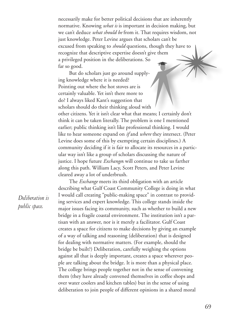necessarily make for better political decisions that are inherently normative. Knowing *what is* is important in decision making, but we can't deduce *what should be* from it. That requires wisdom, not just knowledge. Peter Levine argues that scholars can't be excused from speaking to *should* questions, though they have to recognize that descriptive expertise doesn't give them a privileged position in the deliberations. So far so good.

But do scholars just go around supplying knowledge where it is needed? Pointing out where the hot stoves are is certainly valuable. Yet isn't there more to do? I always liked Kant's suggestion that scholars should do their thinking aloud with other citizens. Yet it isn't clear what that means; I certainly don't think it can be taken literally. The problem is one I mentioned earlier; public thinking isn't like professional thinking. I would like to hear someone expand on *if* and *where* they intersect. (Peter Levine does some of this by exempting certain disciplines.) A community deciding if it is fair to allocate its resources in a particular way isn't like a group of scholars discussing the nature of justice. I hope future *Exchange*s will continue to take us farther along this path. William Lacy, Scott Peters, and Peter Levine cleared away a lot of underbrush.

*Deliberation is public space.*

The *Exchange* meets its third obligation with an article describing what Gulf Coast Community College is doing in what I would call creating "public-making space" in contrast to providing services and expert knowledge. This college stands inside the major issues facing its community, such as whether to build a new bridge in a fragile coastal environment. The institution isn't a partisan with an answer, nor is it merely a facilitator. Gulf Coast creates a space for citizens to make decisions by giving an example of a way of talking and reasoning (deliberation) that is designed for dealing with normative matters. (For example, should the bridge be built?) Deliberation, carefully weighing the options against all that is deeply important, creates a space wherever people are talking about the bridge. It is more than a physical place. The college brings people together not in the sense of convening them (they have already convened themselves in coffee shops and over water coolers and kitchen tables) but in the sense of using deliberation to join people of different opinions in a shared moral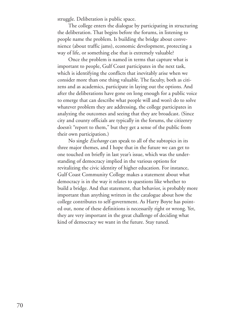struggle. Deliberation is public space.

The college enters the dialogue by participating in structuring the deliberation. That begins before the forums, in listening to people name the problem. Is building the bridge about convenience (about traffic jams), economic development, protecting a way of life, or something else that is extremely valuable?

Once the problem is named in terms that capture what is important to people, Gulf Coast participates in the next task, which is identifying the conflicts that inevitably arise when we consider more than one thing valuable. The faculty, both as citizens and as academics, participate in laying out the options. And after the deliberations have gone on long enough for a public voice to emerge that can describe what people will and won't do to solve whatever problem they are addressing, the college participates in analyzing the outcomes and seeing that they are broadcast. (Since city and county officials are typically in the forums, the citizenry doesn't "report to them," but they get a sense of the public from their own participation.)

No single *Exchange* can speak to all of the subtopics in its three major themes, and I hope that in the future we can get to one touched on briefly in last year's issue, which was the understanding of democracy implied in the various options for revitalizing the civic identity of higher education. For instance, Gulf Coast Community College makes a statement about what democracy is in the way it relates to questions like whether to build a bridge. And that statement, that behavior, is probably more important than anything written in the catalogue about how the college contributes to self-government. As Harry Boyte has pointed out, none of these definitions is necessarily right or wrong. Yet, they are very important in the great challenge of deciding what kind of democracy we want in the future. Stay tuned.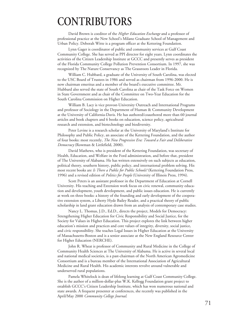## **CONTRIBUTORS**

David Brown is coeditor of the *Higher Education Exchange* and a professor of professional practice at the New School's Milano Graduate School of Management and Urban Policy. Deborah Witte is a program officer at the Kettering Foundation.

Lynn Gager is coordinator of public and community services at Gulf Coast Community College. She has served as PPI director for eight years. Lynn coordinates the activities of the Citizen Leadership Institute at GCCC and presently serves as president of the Florida Community College Pollution Prevention Consortium. In 1997, she was recognized by The Nature Conservancy as The Grassroots Leader in Florida.

William C. Hubbard, a graduate of the University of South Carolina, was elected to the USC Board of Trustees in 1986 and served as chairman from 1996-2000. He is now chairman emeritus and a member of the board's executive committee. Mr. Hubbard also served the state of South Carolina as chair of the Task Force on Women in State Government and as chair of the Committee on Two-Year Education for the South Carolina Commission on Higher Education.

William B. Lacy is vice provost-University Outreach and International Programs and professor of Sociology in the Department of Human & Community Development at the University of California-Davis. He has authored/coauthored more than 60 journal articles and book chapters and 6 books on education, science policy, agricultural research and extension, and biotechnology and biodiversity.

Peter Levine is a research scholar at the University of Maryland's Institute for Philosophy and Public Policy, an associate of the Kettering Foundation, and the author of four books: most recently, *The New Progressive Era: Toward a Fair and Deliberative Democracy* (Rowman & Littlefield, 2000).

David Mathews, who is president of the Kettering Foundation, was secretary of Health, Education, and Welfare in the Ford administration, and before that, president of The University of Alabama. He has written extensively on such subjects as education, political theory, southern history, public policy, and international problem solving. His most recent books are *Is There a Public for Public Schools?* (Kettering Foundation Press, 1996) and a revised edition of *Politics for People* (University of Illinois Press, 1994).

Scott Peters is an assistant professor in the Department of Education at Cornell University. His teaching and Extension work focus on civic renewal, community education and development, youth development, and public issues education. He is currently at work on three books: a history of the founding and early development of the cooperative extension system, a Liberty Hyde Bailey Reader, and a practical theory of public scholarship in land grant education drawn from an analysis of contemporary case studies.

Nancy L. Thomas, J.D., Ed.D., directs the project, Models for Democracy: Strengthening Higher Education for Civic Responsibility and Social Justice, for the Society for Values in Higher Education. This project explores the link between higher education's mission and practices and core values of integrity, diversity, social justice, and civic responsibility. She teaches Legal Issues in Higher Education at the University of Massachusetts-Boston and is a senior associate at the New England Resource Center for Higher Education (NERCHE).

John R. Wheat is professor of Community and Rural Medicine in the College of Community Health Sciences at The University of Alabama. He is active in several local and national medical societies, is a past-chairman of the North American Agromedicine Consortium and is a bureau member of the International Association of Agricultural Medicine and Rural Health. His academic interests revolve around vulnerable and underserved rural populations.

Pamela Whitelock is dean of lifelong learning at Gulf Coast Community College. She is the author of a million-dollar-plus W.K. Kellogg Foundation grant project to establish GCCC's Citizen Leadership Institute, which has won numerous national and state awards. A frequent presenter at conferences, she recently was published in the April/May 2000 *Community College Journal*.